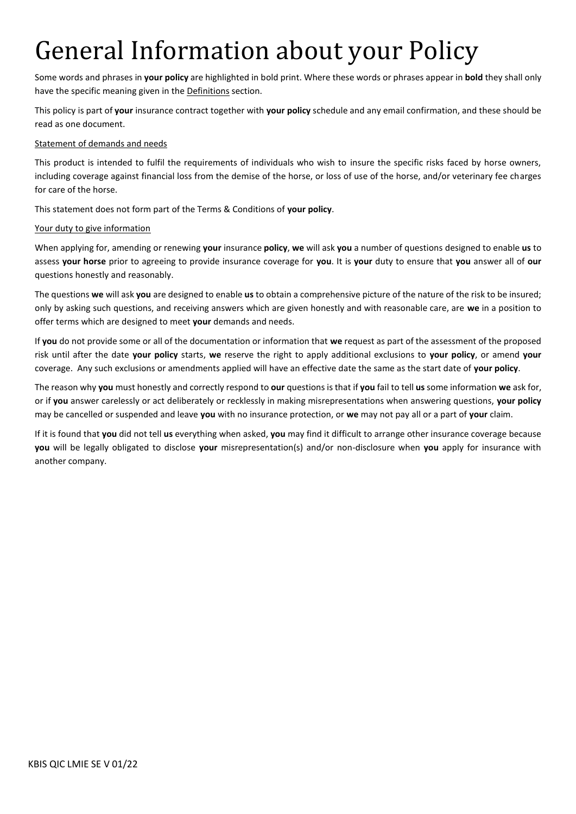# General Information about your Policy

Some words and phrases in **your policy** are highlighted in bold print. Where these words or phrases appear in **bold** they shall only have the specific meaning given in the Definitions section.

This policy is part of **your** insurance contract together with **your policy** schedule and any email confirmation, and these should be read as one document.

## Statement of demands and needs

This product is intended to fulfil the requirements of individuals who wish to insure the specific risks faced by horse owners, including coverage against financial loss from the demise of the horse, or loss of use of the horse, and/or veterinary fee charges for care of the horse.

This statement does not form part of the Terms & Conditions of **your policy**.

## Your duty to give information

When applying for, amending or renewing **your** insurance **policy**, **we** will ask **you** a number of questions designed to enable **us** to assess **your horse** prior to agreeing to provide insurance coverage for **you**. It is **your** duty to ensure that **you** answer all of **our**  questions honestly and reasonably.

The questions **we** will ask **you** are designed to enable **us** to obtain a comprehensive picture of the nature of the risk to be insured; only by asking such questions, and receiving answers which are given honestly and with reasonable care, are **we** in a position to offer terms which are designed to meet **your** demands and needs.

If **you** do not provide some or all of the documentation or information that **we** request as part of the assessment of the proposed risk until after the date **your policy** starts, **we** reserve the right to apply additional exclusions to **your policy**, or amend **your**  coverage. Any such exclusions or amendments applied will have an effective date the same as the start date of **your policy**.

The reason why **you** must honestly and correctly respond to **our** questions is that if **you** fail to tell **us** some information **we** ask for, or if **you** answer carelessly or act deliberately or recklessly in making misrepresentations when answering questions, **your policy**  may be cancelled or suspended and leave **you** with no insurance protection, or **we** may not pay all or a part of **your** claim.

If it is found that **you** did not tell **us** everything when asked, **you** may find it difficult to arrange other insurance coverage because **you** will be legally obligated to disclose **your** misrepresentation(s) and/or non-disclosure when **you** apply for insurance with another company.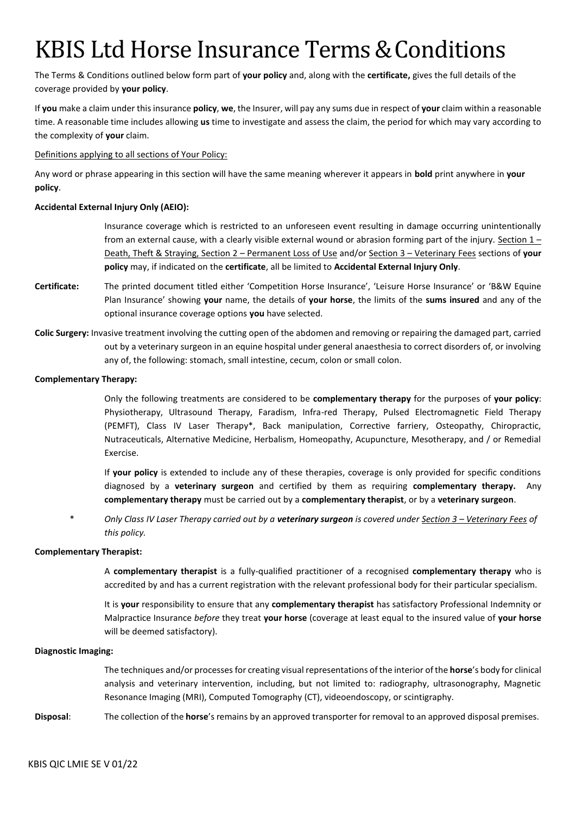## KBIS Ltd Horse Insurance Terms & Conditions

The Terms & Conditions outlined below form part of **your policy** and, along with the **certificate,** gives the full details of the coverage provided by **your policy**.

If **you** make a claim under this insurance **policy**, **we**, the Insurer, will pay any sums due in respect of **your** claim within a reasonable time. A reasonable time includes allowing **us** time to investigate and assess the claim, the period for which may vary according to the complexity of **your** claim.

Definitions applying to all sections of Your Policy:

Any word or phrase appearing in this section will have the same meaning wherever it appears in **bold** print anywhere in **your policy**.

#### **Accidental External Injury Only (AEIO):**

Insurance coverage which is restricted to an unforeseen event resulting in damage occurring unintentionally from an external cause, with a clearly visible external wound or abrasion forming part of the injury. Section  $1 -$ Death, Theft & Straying, Section 2 – Permanent Loss of Use and/or Section 3 – Veterinary Fees sections of **your policy** may, if indicated on the **certificate**, all be limited to **Accidental External Injury Only**.

- **Certificate:** The printed document titled either 'Competition Horse Insurance', 'Leisure Horse Insurance' or 'B&W Equine Plan Insurance' showing **your** name, the details of **your horse**, the limits of the **sums insured** and any of the optional insurance coverage options **you** have selected.
- **Colic Surgery:** Invasive treatment involving the cutting open of the abdomen and removing or repairing the damaged part, carried out by a veterinary surgeon in an equine hospital under general anaesthesia to correct disorders of, or involving any of, the following: stomach, small intestine, cecum, colon or small colon.

#### **Complementary Therapy:**

Only the following treatments are considered to be **complementary therapy** for the purposes of **your policy**: Physiotherapy, Ultrasound Therapy, Faradism, Infra-red Therapy, Pulsed Electromagnetic Field Therapy (PEMFT), Class IV Laser Therapy\*, Back manipulation, Corrective farriery, Osteopathy, Chiropractic, Nutraceuticals, Alternative Medicine, Herbalism, Homeopathy, Acupuncture, Mesotherapy, and / or Remedial Exercise.

If **your policy** is extended to include any of these therapies, coverage is only provided for specific conditions diagnosed by a **veterinary surgeon** and certified by them as requiring **complementary therapy.** Any **complementary therapy** must be carried out by a **complementary therapist**, or by a **veterinary surgeon**.

\* *Only Class IV Laser Therapy carried out by a veterinary surgeon is covered under Section 3 – Veterinary Fees of this policy.*

#### **Complementary Therapist:**

A **complementary therapist** is a fully-qualified practitioner of a recognised **complementary therapy** who is accredited by and has a current registration with the relevant professional body for their particular specialism.

It is **your** responsibility to ensure that any **complementary therapist** has satisfactory Professional Indemnity or Malpractice Insurance *before* they treat **your horse** (coverage at least equal to the insured value of **your horse**  will be deemed satisfactory).

#### **Diagnostic Imaging:**

The techniques and/or processesfor creating visual representations ofthe interior ofthe **horse**'s body for clinical analysis and veterinary intervention, including, but not limited to: radiography, ultrasonography, Magnetic Resonance Imaging (MRI), Computed Tomography (CT), videoendoscopy, or scintigraphy.

**Disposal**: The collection of the **horse**'s remains by an approved transporter for removal to an approved disposal premises.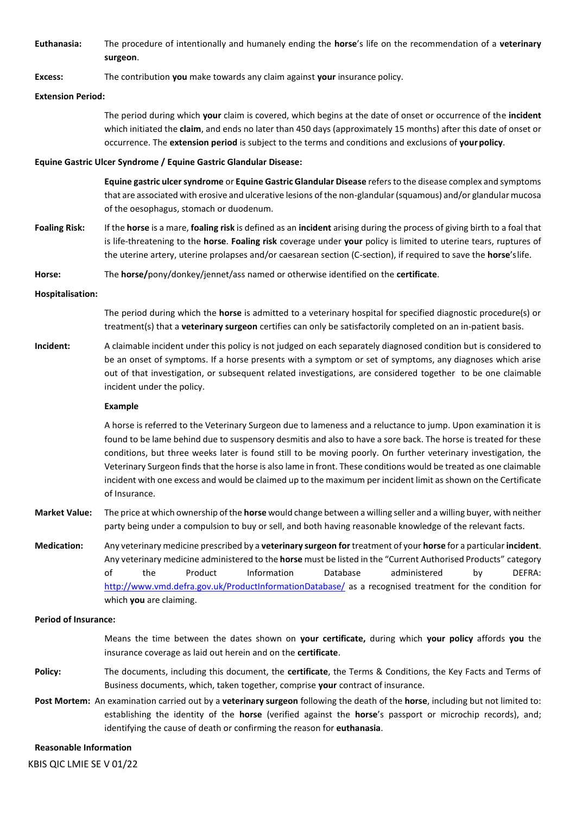**Euthanasia:** The procedure of intentionally and humanely ending the **horse**'s life on the recommendation of a **veterinary surgeon**.

#### **Excess:** The contribution **you** make towards any claim against **your** insurance policy.

#### **Extension Period:**

The period during which **your** claim is covered, which begins at the date of onset or occurrence of the **incident**  which initiated the **claim**, and ends no later than 450 days (approximately 15 months) after this date of onset or occurrence. The **extension period** is subject to the terms and conditions and exclusions of **yourpolicy**.

#### **Equine Gastric Ulcer Syndrome / Equine Gastric Glandular Disease:**

**Equine gastric ulcer syndrome** or **Equine Gastric Glandular Disease** refers to the disease complex and symptoms that are associated with erosive and ulcerative lesions of the non-glandular (squamous) and/or glandular mucosa of the oesophagus, stomach or duodenum.

**Foaling Risk:** If the **horse** is a mare, **foaling risk** is defined as an **incident** arising during the process of giving birth to a foal that is life-threatening to the **horse**. **Foaling risk** coverage under **your** policy is limited to uterine tears, ruptures of the uterine artery, uterine prolapses and/or caesarean section (C-section), if required to save the **horse**'slife.

**Horse:** The **horse/**pony/donkey/jennet/ass named or otherwise identified on the **certificate**.

#### **Hospitalisation:**

The period during which the **horse** is admitted to a veterinary hospital for specified diagnostic procedure(s) or treatment(s) that a **veterinary surgeon** certifies can only be satisfactorily completed on an in-patient basis.

**Incident:** A claimable incident under this policy is not judged on each separately diagnosed condition but is considered to be an onset of symptoms. If a horse presents with a symptom or set of symptoms, any diagnoses which arise out of that investigation, or subsequent related investigations, are considered together to be one claimable incident under the policy.

#### **Example**

A horse is referred to the Veterinary Surgeon due to lameness and a reluctance to jump. Upon examination it is found to be lame behind due to suspensory desmitis and also to have a sore back. The horse is treated for these conditions, but three weeks later is found still to be moving poorly. On further veterinary investigation, the Veterinary Surgeon finds that the horse is also lame in front. These conditions would be treated as one claimable incident with one excess and would be claimed up to the maximum per incident limit as shown on the Certificate of Insurance.

- **Market Value:** The price at which ownership of the **horse** would change between a willing seller and a willing buyer, with neither party being under a compulsion to buy or sell, and both having reasonable knowledge of the relevant facts.
- **Medication:** Any veterinary medicine prescribed by a **veterinary surgeon for** treatment of your **horse** for a particular **incident**. Any veterinary medicine administered to the **horse** must be listed in the "Current Authorised Products" category of the Product Information Database administered by DEFRA: <http://www.vmd.defra.gov.uk/ProductInformationDatabase/> as a recognised treatment for the condition for which **you** are claiming.

#### **Period of Insurance:**

Means the time between the dates shown on **your certificate,** during which **your policy** affords **you** the insurance coverage as laid out herein and on the **certificate**.

- **Policy:** The documents, including this document, the **certificate**, the Terms & Conditions, the Key Facts and Terms of Business documents, which, taken together, comprise **your** contract of insurance.
- **Post Mortem:** An examination carried out by a **veterinary surgeon** following the death of the **horse**, including but not limited to: establishing the identity of the **horse** (verified against the **horse**'s passport or microchip records), and; identifying the cause of death or confirming the reason for **euthanasia**.

#### **Reasonable Information**

KBIS QIC LMIE SE V 01/22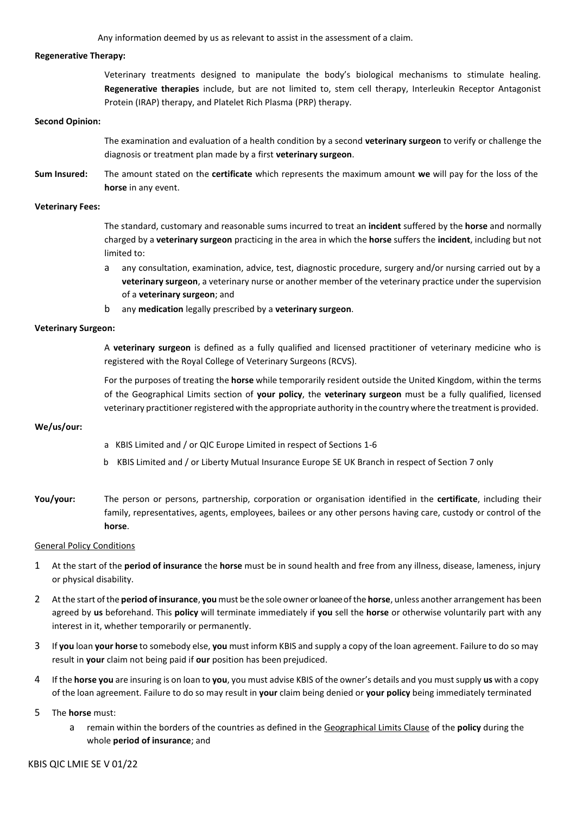Any information deemed by us as relevant to assist in the assessment of a claim.

#### **Regenerative Therapy:**

Veterinary treatments designed to manipulate the body's biological mechanisms to stimulate healing. **Regenerative therapies** include, but are not limited to, stem cell therapy, Interleukin Receptor Antagonist Protein (IRAP) therapy, and Platelet Rich Plasma (PRP) therapy.

#### **Second Opinion:**

The examination and evaluation of a health condition by a second **veterinary surgeon** to verify or challenge the diagnosis or treatment plan made by a first **veterinary surgeon**.

**Sum Insured:** The amount stated on the **certificate** which represents the maximum amount **we** will pay for the loss of the **horse** in any event.

#### **Veterinary Fees:**

The standard, customary and reasonable sums incurred to treat an **incident** suffered by the **horse** and normally charged by a **veterinary surgeon** practicing in the area in which the **horse** suffers the **incident**, including but not limited to:

- a any consultation, examination, advice, test, diagnostic procedure, surgery and/or nursing carried out by a **veterinary surgeon**, a veterinary nurse or another member of the veterinary practice under the supervision of a **veterinary surgeon**; and
- b any **medication** legally prescribed by a **veterinary surgeon**.

#### **Veterinary Surgeon:**

A **veterinary surgeon** is defined as a fully qualified and licensed practitioner of veterinary medicine who is registered with the Royal College of Veterinary Surgeons (RCVS).

For the purposes of treating the **horse** while temporarily resident outside the United Kingdom, within the terms of the Geographical Limits section of **your policy**, the **veterinary surgeon** must be a fully qualified, licensed veterinary practitioner registered with the appropriate authority in the country where the treatment is provided.

#### **We/us/our:**

- a KBIS Limited and / or QIC Europe Limited in respect of Sections 1-6
- b KBIS Limited and / or Liberty Mutual Insurance Europe SE UK Branch in respect of Section 7 only
- **You/your:** The person or persons, partnership, corporation or organisation identified in the **certificate**, including their family, representatives, agents, employees, bailees or any other persons having care, custody or control of the **horse**.

#### General Policy Conditions

- 1 At the start of the **period of insurance** the **horse** must be in sound health and free from any illness, disease, lameness, injury or physical disability.
- 2 Atthe start ofthe **period of insurance**, **you** must be the sole owner or loanee ofthe **horse**, unless another arrangement has been agreed by **us** beforehand. This **policy** will terminate immediately if **you** sell the **horse** or otherwise voluntarily part with any interest in it, whether temporarily or permanently.
- 3 If **you** loan **your horse** to somebody else, **you** must inform KBIS and supply a copy of the loan agreement. Failure to do so may result in **your** claim not being paid if **our** position has been prejudiced.
- 4 If the **horse you** are insuring is on loan to **you**, you must advise KBIS of the owner's details and you mustsupply **us** with a copy of the loan agreement. Failure to do so may result in **your** claim being denied or **your policy** being immediately terminated
- 5 The **horse** must:
	- a remain within the borders of the countries as defined in the Geographical Limits Clause of the **policy** during the whole **period of insurance**; and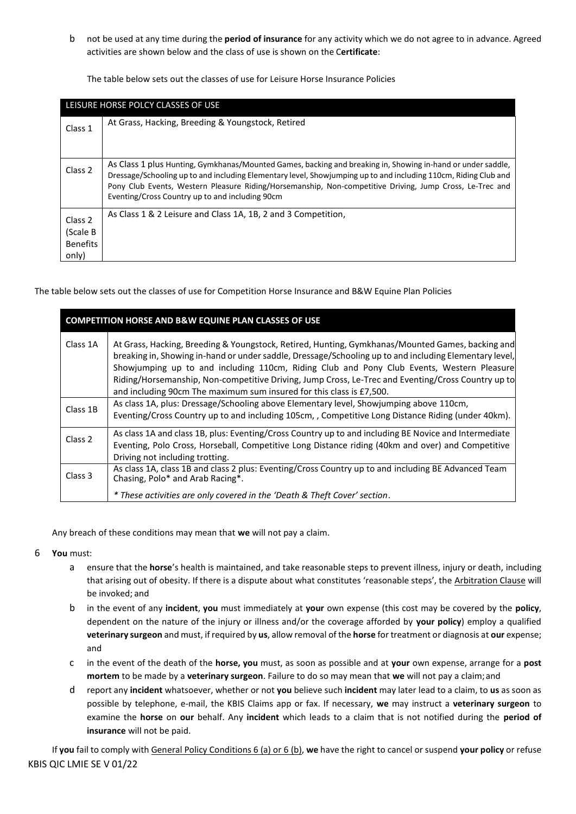b not be used at any time during the **period of insurance** for any activity which we do not agree to in advance. Agreed activities are shown below and the class of use is shown on the C**ertificate**:

The table below sets out the classes of use for Leisure Horse Insurance Policies

| LEISURE HORSE POLCY CLASSES OF USE              |                                                                                                                                                                                                                                                                                                                                                                                               |  |  |  |
|-------------------------------------------------|-----------------------------------------------------------------------------------------------------------------------------------------------------------------------------------------------------------------------------------------------------------------------------------------------------------------------------------------------------------------------------------------------|--|--|--|
| Class 1                                         | At Grass, Hacking, Breeding & Youngstock, Retired                                                                                                                                                                                                                                                                                                                                             |  |  |  |
| Class <sub>2</sub>                              | As Class 1 plus Hunting, Gymkhanas/Mounted Games, backing and breaking in, Showing in-hand or under saddle,<br>Dressage/Schooling up to and including Elementary level, Showjumping up to and including 110cm, Riding Club and<br>Pony Club Events, Western Pleasure Riding/Horsemanship, Non-competitive Driving, Jump Cross, Le-Trec and<br>Eventing/Cross Country up to and including 90cm |  |  |  |
| Class 2<br>(Scale B<br><b>Benefits</b><br>only) | As Class 1 & 2 Leisure and Class 1A, 1B, 2 and 3 Competition,                                                                                                                                                                                                                                                                                                                                 |  |  |  |

The table below sets out the classes of use for Competition Horse Insurance and B&W Equine Plan Policies

| <b>COMPETITION HORSE AND B&amp;W EQUINE PLAN CLASSES OF USE</b> |                                                                                                                                                                                                                                                                                                                                                                                                                                                                                       |  |  |
|-----------------------------------------------------------------|---------------------------------------------------------------------------------------------------------------------------------------------------------------------------------------------------------------------------------------------------------------------------------------------------------------------------------------------------------------------------------------------------------------------------------------------------------------------------------------|--|--|
| Class 1A                                                        | At Grass, Hacking, Breeding & Youngstock, Retired, Hunting, Gymkhanas/Mounted Games, backing and<br>breaking in, Showing in-hand or under saddle, Dressage/Schooling up to and including Elementary level,<br>Showjumping up to and including 110cm, Riding Club and Pony Club Events, Western Pleasure<br>Riding/Horsemanship, Non-competitive Driving, Jump Cross, Le-Trec and Eventing/Cross Country up to<br>and including 90cm The maximum sum insured for this class is £7,500. |  |  |
| Class 1B                                                        | As class 1A, plus: Dressage/Schooling above Elementary level, Showjumping above 110cm,<br>Eventing/Cross Country up to and including 105cm, , Competitive Long Distance Riding (under 40km).                                                                                                                                                                                                                                                                                          |  |  |
| Class 2                                                         | As class 1A and class 1B, plus: Eventing/Cross Country up to and including BE Novice and Intermediate<br>Eventing, Polo Cross, Horseball, Competitive Long Distance riding (40km and over) and Competitive<br>Driving not including trotting.                                                                                                                                                                                                                                         |  |  |
| Class 3                                                         | As class 1A, class 1B and class 2 plus: Eventing/Cross Country up to and including BE Advanced Team<br>Chasing, Polo* and Arab Racing*.<br>* These activities are only covered in the 'Death & Theft Cover' section.                                                                                                                                                                                                                                                                  |  |  |

Any breach of these conditions may mean that **we** will not pay a claim.

- 6 **You** must:
	- a ensure that the **horse**'s health is maintained, and take reasonable steps to prevent illness, injury or death, including that arising out of obesity. If there is a dispute about what constitutes 'reasonable steps', the Arbitration Clause will be invoked; and
	- b in the event of any **incident**, **you** must immediately at **your** own expense (this cost may be covered by the **policy**, dependent on the nature of the injury or illness and/or the coverage afforded by **your policy**) employ a qualified **veterinary surgeon** and must, if required by **us**, allow removal of the **horse** for treatment or diagnosis at **our** expense; and
	- c in the event of the death of the **horse, you** must, as soon as possible and at **your** own expense, arrange for a **post mortem** to be made by a **veterinary surgeon**. Failure to do so may mean that **we** will not pay a claim;and
	- d report any **incident** whatsoever, whether or not **you** believe such **incident** may later lead to a claim, to **us** as soon as possible by telephone, e-mail, the KBIS Claims app or fax. If necessary, **we** may instruct a **veterinary surgeon** to examine the **horse** on **our** behalf. Any **incident** which leads to a claim that is not notified during the **period of insurance** will not be paid.

KBIS QIC LMIE SE V 01/22 If **you** fail to comply with General Policy Conditions 6 (a) or 6 (b), **we** have the right to cancel or suspend **your policy** or refuse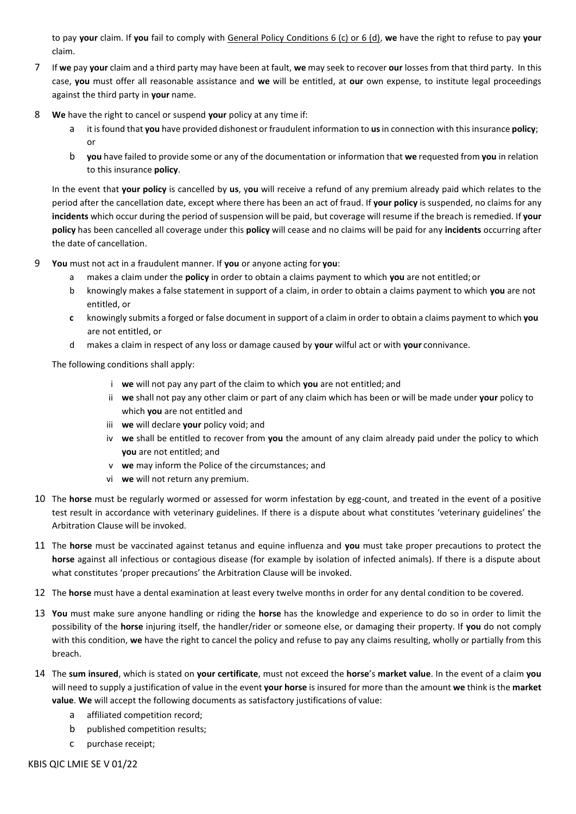to pay **your** claim. If **you** fail to comply with General Policy Conditions 6 (c) or 6 (d), **we** have the right to refuse to pay **your**  claim.

- 7 If **we** pay **your** claim and a third party may have been at fault, **we** may seek to recover **our** losses from that third party. In this case, **you** must offer all reasonable assistance and **we** will be entitled, at **our** own expense, to institute legal proceedings against the third party in **your** name.
- 8 **We** have the right to cancel or suspend **your** policy at any time if:
	- a it isfound that **you** have provided dishonest or fraudulent information to **us**in connection with thisinsurance **policy**; or
	- b **you** have failed to provide some or any of the documentation or information that **we** requested from **you** in relation to this insurance **policy**.

In the event that **your policy** is cancelled by **us**, y**ou** will receive a refund of any premium already paid which relates to the period after the cancellation date, except where there has been an act of fraud. If **your policy** is suspended, no claims for any **incidents** which occur during the period of suspension will be paid, but coverage will resume if the breach is remedied. If **your policy** has been cancelled all coverage under this **policy** will cease and no claims will be paid for any **incidents** occurring after the date of cancellation.

- 9 **You** must not act in a fraudulent manner. If **you** or anyone acting for **you**:
	- a makes a claim under the **policy** in order to obtain a claims payment to which **you** are not entitled; or
	- b knowingly makes a false statement in support of a claim, in order to obtain a claims payment to which **you** are not entitled, or
	- **c** knowingly submits a forged or false document in support of a claim in order to obtain a claims payment to which **you** are not entitled, or
	- d makes a claim in respect of any loss or damage caused by **your** wilful act or with **your** connivance.

The following conditions shall apply:

- i **we** will not pay any part of the claim to which **you** are not entitled; and
- ii **we** shall not pay any other claim or part of any claim which has been or will be made under **your** policy to which **you** are not entitled and
- iii **we** will declare **your** policy void; and
- iv **we** shall be entitled to recover from **you** the amount of any claim already paid under the policy to which **you** are not entitled; and
- v **we** may inform the Police of the circumstances; and
- vi **we** will not return any premium.
- 10 The **horse** must be regularly wormed or assessed for worm infestation by egg-count, and treated in the event of a positive test result in accordance with veterinary guidelines. If there is a dispute about what constitutes 'veterinary guidelines' the Arbitration Clause will be invoked.
- 11 The **horse** must be vaccinated against tetanus and equine influenza and **you** must take proper precautions to protect the **horse** against all infectious or contagious disease (for example by isolation of infected animals). If there is a dispute about what constitutes 'proper precautions' the Arbitration Clause will be invoked.
- 12 The **horse** must have a dental examination at least every twelve months in order for any dental condition to be covered.
- 13 **You** must make sure anyone handling or riding the **horse** has the knowledge and experience to do so in order to limit the possibility of the **horse** injuring itself, the handler/rider or someone else, or damaging their property. If **you** do not comply with this condition, **we** have the right to cancel the policy and refuse to pay any claims resulting, wholly or partially from this breach.
- 14 The **sum insured**, which is stated on **your certificate**, must not exceed the **horse**'s **market value**. In the event of a claim **you**  will need to supply a justification of value in the event **your horse** is insured for more than the amount **we** think is the **market value**. **We** will accept the following documents as satisfactory justifications of value:
	- a affiliated competition record;
	- b published competition results;
	- c purchase receipt;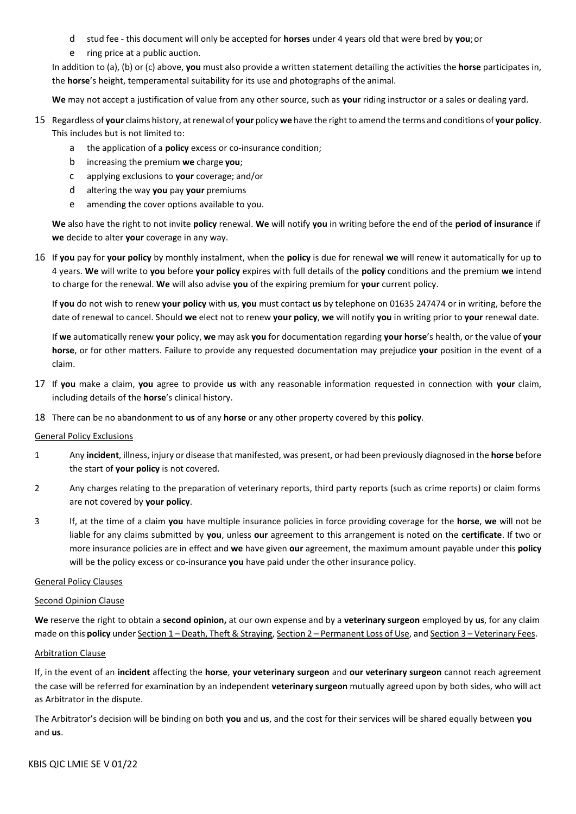- d stud fee this document will only be accepted for **horses** under 4 years old that were bred by **you**;or
- e ring price at a public auction.

In addition to (a), (b) or (c) above, **you** must also provide a written statement detailing the activities the **horse** participates in, the **horse**'s height, temperamental suitability for its use and photographs of the animal.

**We** may not accept a justification of value from any other source, such as **your** riding instructor or a sales or dealing yard.

- 15 Regardless of **your** claims history, atrenewal of **your** policy **we** have the rightto amend the terms and conditions of **your policy**. This includes but is not limited to:
	- a the application of a **policy** excess or co-insurance condition;
	- b increasing the premium **we** charge **you**;
	- c applying exclusions to **your** coverage; and/or
	- d altering the way **you** pay **your** premiums
	- e amending the cover options available to you.

**We** also have the right to not invite **policy** renewal. **We** will notify **you** in writing before the end of the **period of insurance** if **we** decide to alter **your** coverage in any way.

16 If **you** pay for **your policy** by monthly instalment, when the **policy** is due for renewal **we** will renew it automatically for up to 4 years. **We** will write to **you** before **your policy** expires with full details of the **policy** conditions and the premium **we** intend to charge for the renewal. **We** will also advise **you** of the expiring premium for **your** current policy.

If **you** do not wish to renew **your policy** with **us**, **you** must contact **us** by telephone on 01635 247474 or in writing, before the date of renewal to cancel. Should **we** elect not to renew **your policy**, **we** will notify **you** in writing prior to **your** renewal date.

If **we** automatically renew **your** policy, **we** may ask **you** for documentation regarding **your horse**'s health, or the value of **your horse**, or for other matters. Failure to provide any requested documentation may prejudice **your** position in the event of a claim.

- 17 If **you** make a claim, **you** agree to provide **us** with any reasonable information requested in connection with **your** claim, including details of the **horse**'s clinical history.
- 18 There can be no abandonment to **us** of any **horse** or any other property covered by this **policy**.

#### General Policy Exclusions

- 1 Any **incident**, illness, injury or disease that manifested, was present, or had been previously diagnosed in the **horse** before the start of **your policy** is not covered.
- 2 Any charges relating to the preparation of veterinary reports, third party reports (such as crime reports) or claim forms are not covered by **your policy**.
- 3 If, at the time of a claim **you** have multiple insurance policies in force providing coverage for the **horse**, **we** will not be liable for any claims submitted by **you**, unless **our** agreement to this arrangement is noted on the **certificate**. If two or more insurance policies are in effect and **we** have given **our** agreement, the maximum amount payable under this **policy**  will be the policy excess or co-insurance **you** have paid under the other insurance policy.

## General Policy Clauses

#### Second Opinion Clause

**We** reserve the right to obtain a **second opinion,** at our own expense and by a **veterinary surgeon** employed by **us**, for any claim made on this **policy** under Section 1 – Death, Theft & Straying, Section 2 – Permanent Loss of Use, and Section 3 – Veterinary Fees.

#### Arbitration Clause

If, in the event of an **incident** affecting the **horse**, **your veterinary surgeon** and **our veterinary surgeon** cannot reach agreement the case will be referred for examination by an independent **veterinary surgeon** mutually agreed upon by both sides, who will act as Arbitrator in the dispute.

The Arbitrator's decision will be binding on both **you** and **us**, and the cost for their services will be shared equally between **you** and **us**.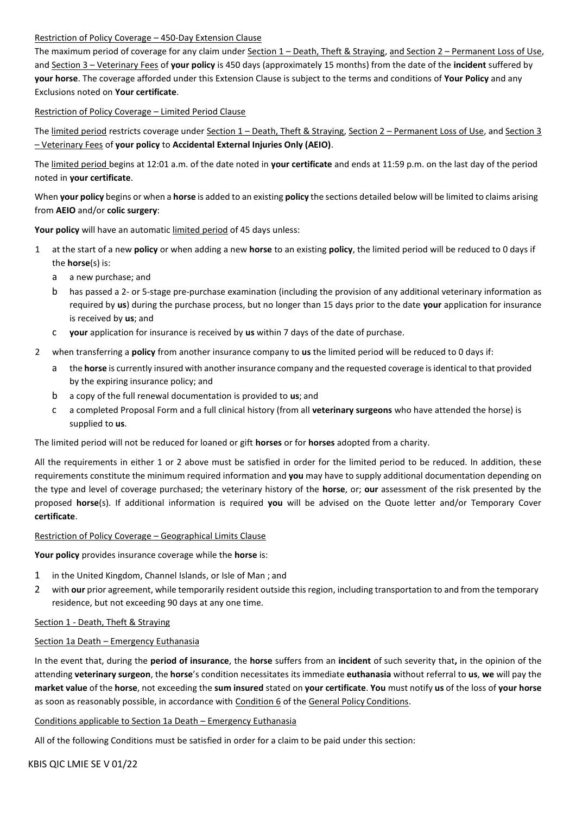## Restriction of Policy Coverage – 450-Day Extension Clause

The maximum period of coverage for any claim under Section 1 – Death, Theft & Straying, and Section 2 – Permanent Loss of Use, and Section 3 – Veterinary Fees of **your policy** is 450 days (approximately 15 months) from the date of the **incident** suffered by **your horse**. The coverage afforded under this Extension Clause is subject to the terms and conditions of **Your Policy** and any Exclusions noted on **Your certificate**.

## Restriction of Policy Coverage – Limited Period Clause

The limited period restricts coverage under Section 1 - Death, Theft & Straying, Section 2 - Permanent Loss of Use, and Section 3 – Veterinary Fees of **your policy** to **Accidental External Injuries Only (AEIO)**.

The limited period begins at 12:01 a.m. of the date noted in **your certificate** and ends at 11:59 p.m. on the last day of the period noted in **your certificate**.

When **your policy** begins or when a **horse** is added to an existing **policy** the sections detailed below will be limited to claims arising from **AEIO** and/or **colic surgery**:

**Your policy** will have an automatic limited period of 45 days unless:

- 1 at the start of a new **policy** or when adding a new **horse** to an existing **policy**, the limited period will be reduced to 0 days if the **horse**(s) is:
	- a a new purchase; and
	- b has passed a 2- or 5-stage pre-purchase examination (including the provision of any additional veterinary information as required by **us**) during the purchase process, but no longer than 15 days prior to the date **your** application for insurance is received by **us**; and
	- c **your** application for insurance is received by **us** within 7 days of the date of purchase.
- 2 when transferring a **policy** from another insurance company to **us** the limited period will be reduced to 0 days if:
	- a the **horse** is currently insured with another insurance company and the requested coverage isidentical to that provided by the expiring insurance policy; and
	- b a copy of the full renewal documentation is provided to **us**; and
	- c a completed Proposal Form and a full clinical history (from all **veterinary surgeons** who have attended the horse) is supplied to **us**.

The limited period will not be reduced for loaned or gift **horses** or for **horses** adopted from a charity.

All the requirements in either 1 or 2 above must be satisfied in order for the limited period to be reduced. In addition, these requirements constitute the minimum required information and **you** may have to supply additional documentation depending on the type and level of coverage purchased; the veterinary history of the **horse**, or; **our** assessment of the risk presented by the proposed **horse**(s). If additional information is required **you** will be advised on the Quote letter and/or Temporary Cover **certificate**.

#### Restriction of Policy Coverage – Geographical Limits Clause

**Your policy** provides insurance coverage while the **horse** is:

- 1 in the United Kingdom, Channel Islands, or Isle of Man ; and
- 2 with **our** prior agreement, while temporarily resident outside this region, including transportation to and from the temporary residence, but not exceeding 90 days at any one time.

#### Section 1 - Death, Theft & Straying

#### Section 1a Death – Emergency Euthanasia

In the event that, during the **period of insurance**, the **horse** suffers from an **incident** of such severity that**,** in the opinion of the attending **veterinary surgeon**, the **horse**'s condition necessitates its immediate **euthanasia** without referral to **us**, **we** will pay the **market value** of the **horse**, not exceeding the **sum insured** stated on **your certificate**. **You** must notify **us** of the loss of **your horse**  as soon as reasonably possible, in accordance with Condition 6 of the General Policy Conditions.

#### Conditions applicable to Section 1a Death – Emergency Euthanasia

All of the following Conditions must be satisfied in order for a claim to be paid under this section: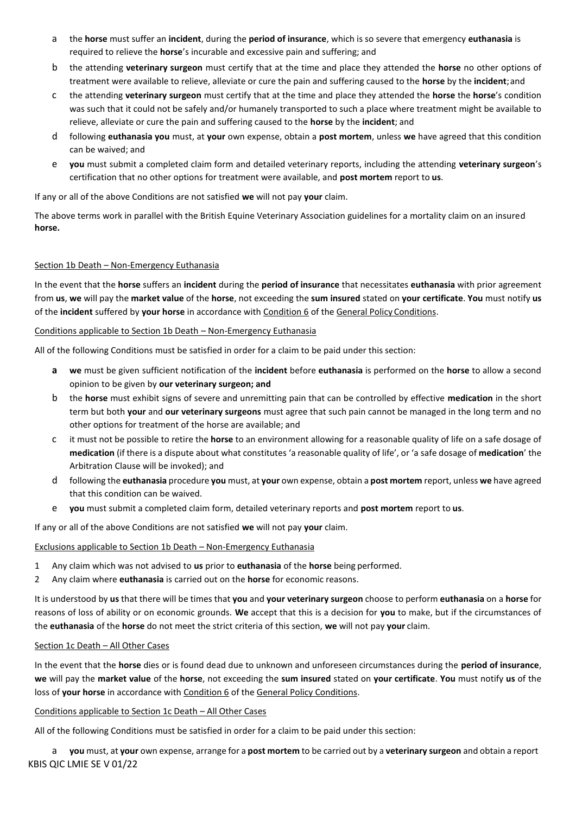- a the **horse** must suffer an **incident**, during the **period of insurance**, which is so severe that emergency **euthanasia** is required to relieve the **horse**'s incurable and excessive pain and suffering; and
- b the attending **veterinary surgeon** must certify that at the time and place they attended the **horse** no other options of treatment were available to relieve, alleviate or cure the pain and suffering caused to the **horse** by the **incident**;and
- c the attending **veterinary surgeon** must certify that at the time and place they attended the **horse** the **horse**'s condition was such that it could not be safely and/or humanely transported to such a place where treatment might be available to relieve, alleviate or cure the pain and suffering caused to the **horse** by the **incident**; and
- d following **euthanasia you** must, at **your** own expense, obtain a **post mortem**, unless **we** have agreed that this condition can be waived; and
- e **you** must submit a completed claim form and detailed veterinary reports, including the attending **veterinary surgeon**'s certification that no other options for treatment were available, and **post mortem** report to **us**.

If any or all of the above Conditions are not satisfied **we** will not pay **your** claim.

The above terms work in parallel with the British Equine Veterinary Association guidelines for a mortality claim on an insured **horse.**

## Section 1b Death – Non-Emergency Euthanasia

In the event that the **horse** suffers an **incident** during the **period of insurance** that necessitates **euthanasia** with prior agreement from **us**, **we** will pay the **market value** of the **horse**, not exceeding the **sum insured** stated on **your certificate**. **You** must notify **us**  of the **incident** suffered by **your horse** in accordance with Condition 6 of the General Policy Conditions.

#### Conditions applicable to Section 1b Death – Non-Emergency Euthanasia

All of the following Conditions must be satisfied in order for a claim to be paid under this section:

- **a we** must be given sufficient notification of the **incident** before **euthanasia** is performed on the **horse** to allow a second opinion to be given by **our veterinary surgeon; and**
- b the **horse** must exhibit signs of severe and unremitting pain that can be controlled by effective **medication** in the short term but both **your** and **our veterinary surgeons** must agree that such pain cannot be managed in the long term and no other options for treatment of the horse are available; and
- c it must not be possible to retire the **horse** to an environment allowing for a reasonable quality of life on a safe dosage of **medication** (if there is a dispute about what constitutes 'a reasonable quality of life', or 'a safe dosage of **medication**' the Arbitration Clause will be invoked); and
- d following the **euthanasia** procedure **you** must, at **your** own expense, obtain a **post mortem** report, unless **we** have agreed that this condition can be waived.
- e **you** must submit a completed claim form, detailed veterinary reports and **post mortem** report to **us**.

If any or all of the above Conditions are not satisfied **we** will not pay **your** claim.

## Exclusions applicable to Section 1b Death – Non-Emergency Euthanasia

- 1 Any claim which was not advised to **us** prior to **euthanasia** of the **horse** being performed.
- 2 Any claim where **euthanasia** is carried out on the **horse** for economic reasons.

It is understood by **us** that there will be times that **you** and **your veterinary surgeon** choose to perform **euthanasia** on a **horse** for reasons of loss of ability or on economic grounds. **We** accept that this is a decision for **you** to make, but if the circumstances of the **euthanasia** of the **horse** do not meet the strict criteria of this section, **we** will not pay **your** claim.

#### Section 1c Death – All Other Cases

In the event that the **horse** dies or is found dead due to unknown and unforeseen circumstances during the **period of insurance**, **we** will pay the **market value** of the **horse**, not exceeding the **sum insured** stated on **your certificate**. **You** must notify **us** of the loss of **your horse** in accordance with Condition 6 of the General Policy Conditions.

#### Conditions applicable to Section 1c Death – All Other Cases

All of the following Conditions must be satisfied in order for a claim to be paid under this section:

KBIS QIC LMIE SE V 01/22 a **you** must, at **your** own expense, arrange for a **post mortem** to be carried out by a **veterinary surgeon** and obtain a report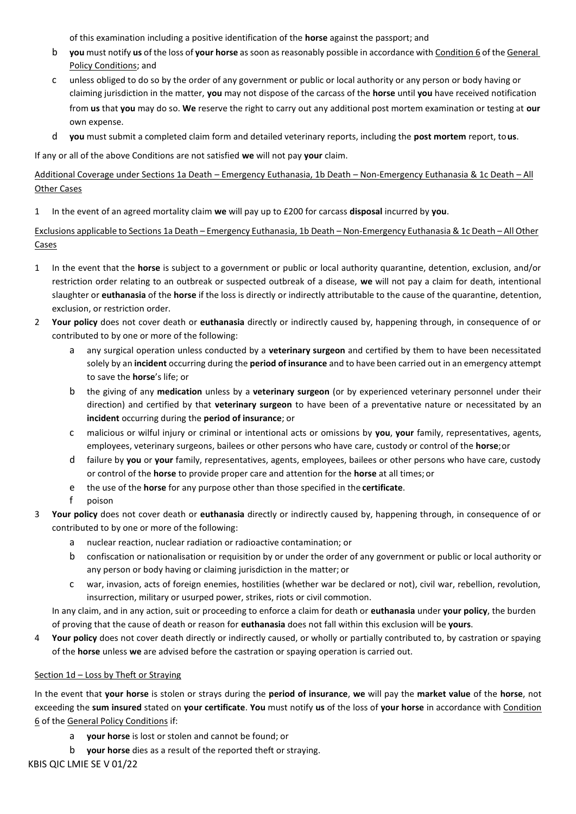of this examination including a positive identification of the **horse** against the passport; and

- b **you** must notify **us** of the loss of **your horse** assoon as reasonably possible in accordance with Condition 6 of the General Policy Conditions; and
- c unless obliged to do so by the order of any government or public or local authority or any person or body having or claiming jurisdiction in the matter, **you** may not dispose of the carcass of the **horse** until **you** have received notification from **us** that **you** may do so. **We** reserve the right to carry out any additional post mortem examination or testing at **our** own expense.
- d **you** must submit a completed claim form and detailed veterinary reports, including the **post mortem** report, to**us**.

If any or all of the above Conditions are not satisfied **we** will not pay **your** claim.

Additional Coverage under Sections 1a Death – Emergency Euthanasia, 1b Death – Non-Emergency Euthanasia & 1c Death – All Other Cases

1 In the event of an agreed mortality claim **we** will pay up to £200 for carcass **disposal** incurred by **you**.

Exclusions applicable to Sections 1a Death – Emergency Euthanasia, 1b Death – Non-Emergency Euthanasia & 1c Death – All Other Cases

- 1 In the event that the **horse** is subject to a government or public or local authority quarantine, detention, exclusion, and/or restriction order relating to an outbreak or suspected outbreak of a disease, **we** will not pay a claim for death, intentional slaughter or **euthanasia** of the **horse** if the loss is directly or indirectly attributable to the cause of the quarantine, detention, exclusion, or restriction order.
- 2 **Your policy** does not cover death or **euthanasia** directly or indirectly caused by, happening through, in consequence of or contributed to by one or more of the following:
	- a any surgical operation unless conducted by a **veterinary surgeon** and certified by them to have been necessitated solely by an **incident** occurring during the **period of insurance** and to have been carried out in an emergency attempt to save the **horse**'s life; or
	- b the giving of any **medication** unless by a **veterinary surgeon** (or by experienced veterinary personnel under their direction) and certified by that **veterinary surgeon** to have been of a preventative nature or necessitated by an **incident** occurring during the **period of insurance**; or
	- c malicious or wilful injury or criminal or intentional acts or omissions by **you**, **your** family, representatives, agents, employees, veterinary surgeons, bailees or other persons who have care, custody or control of the **horse**;or
	- d failure by **you** or **your** family, representatives, agents, employees, bailees or other persons who have care, custody or control of the **horse** to provide proper care and attention for the **horse** at all times; or
	- e the use of the **horse** for any purpose other than those specified in the **certificate**.
	- f poison
- 3 **Your policy** does not cover death or **euthanasia** directly or indirectly caused by, happening through, in consequence of or contributed to by one or more of the following:
	- a nuclear reaction, nuclear radiation or radioactive contamination; or
	- b confiscation or nationalisation or requisition by or under the order of any government or public or local authority or any person or body having or claiming jurisdiction in the matter; or
	- c war, invasion, acts of foreign enemies, hostilities (whether war be declared or not), civil war, rebellion, revolution, insurrection, military or usurped power, strikes, riots or civil commotion.

In any claim, and in any action, suit or proceeding to enforce a claim for death or **euthanasia** under **your policy**, the burden of proving that the cause of death or reason for **euthanasia** does not fall within this exclusion will be **yours**.

4 **Your policy** does not cover death directly or indirectly caused, or wholly or partially contributed to, by castration or spaying of the **horse** unless **we** are advised before the castration or spaying operation is carried out.

#### Section 1d – Loss by Theft or Straying

In the event that **your horse** is stolen or strays during the **period of insurance**, **we** will pay the **market value** of the **horse**, not exceeding the **sum insured** stated on **your certificate**. **You** must notify **us** of the loss of **your horse** in accordance with Condition 6 of the General Policy Conditions if:

- a **your horse** is lost or stolen and cannot be found; or
- b **your horse** dies as a result of the reported theft or straying.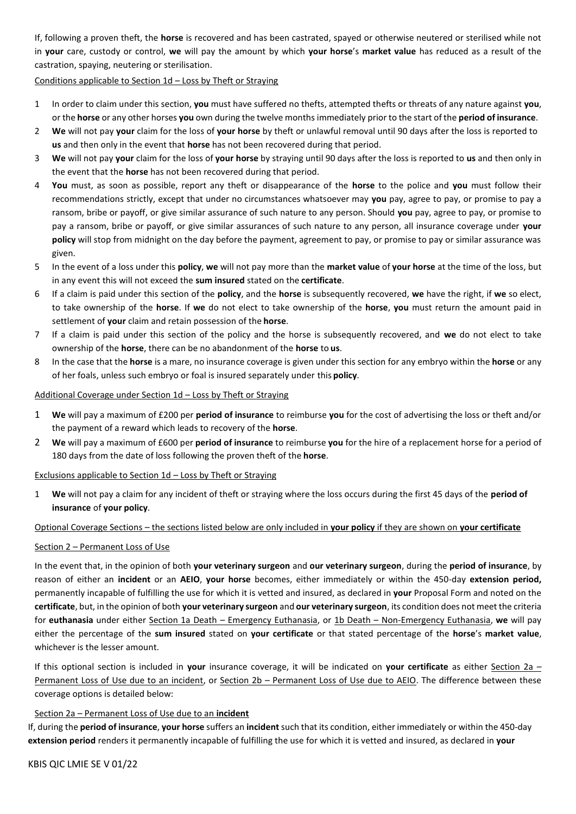If, following a proven theft, the **horse** is recovered and has been castrated, spayed or otherwise neutered or sterilised while not in **your** care, custody or control, **we** will pay the amount by which **your horse**'s **market value** has reduced as a result of the castration, spaying, neutering or sterilisation.

## Conditions applicable to Section 1d – Loss by Theft or Straying

- 1 In order to claim under this section, **you** must have suffered no thefts, attempted thefts or threats of any nature against **you**, or the **horse** or any other horses **you** own during the twelve months immediately prior to the start of the **period of insurance**.
- 2 **We** will not pay **your** claim for the loss of **your horse** by theft or unlawful removal until 90 days after the loss is reported to **us** and then only in the event that **horse** has not been recovered during that period.
- 3 **We** will not pay **your** claim for the loss of **your horse** by straying until 90 days after the loss is reported to **us** and then only in the event that the **horse** has not been recovered during that period.
- 4 **You** must, as soon as possible, report any theft or disappearance of the **horse** to the police and **you** must follow their recommendations strictly, except that under no circumstances whatsoever may **you** pay, agree to pay, or promise to pay a ransom, bribe or payoff, or give similar assurance of such nature to any person. Should **you** pay, agree to pay, or promise to pay a ransom, bribe or payoff, or give similar assurances of such nature to any person, all insurance coverage under **your policy** will stop from midnight on the day before the payment, agreement to pay, or promise to pay or similar assurance was given.
- 5 In the event of a loss under this **policy**, **we** will not pay more than the **market value** of **your horse** at the time of the loss, but in any event this will not exceed the **sum insured** stated on the **certificate**.
- 6 If a claim is paid under this section of the **policy**, and the **horse** is subsequently recovered, **we** have the right, if **we** so elect, to take ownership of the **horse**. If **we** do not elect to take ownership of the **horse**, **you** must return the amount paid in settlement of **your** claim and retain possession of the **horse**.
- 7 If a claim is paid under this section of the policy and the horse is subsequently recovered, and **we** do not elect to take ownership of the **horse**, there can be no abandonment of the **horse** to **us**.
- 8 In the case that the **horse** is a mare, no insurance coverage is given under this section for any embryo within the **horse** or any of her foals, unless such embryo or foal is insured separately under this **policy**.

## Additional Coverage under Section 1d - Loss by Theft or Straying

- 1 **We** will pay a maximum of £200 per **period of insurance** to reimburse **you** for the cost of advertising the loss or theft and/or the payment of a reward which leads to recovery of the **horse**.
- 2 **We** will pay a maximum of £600 per **period of insurance** to reimburse **you** for the hire of a replacement horse for a period of 180 days from the date of loss following the proven theft of the **horse**.

#### Exclusions applicable to Section 1d – Loss by Theft or Straying

1 **We** will not pay a claim for any incident of theft or straying where the loss occurs during the first 45 days of the **period of insurance** of **your policy**.

#### Optional Coverage Sections – the sections listed below are only included in **your policy** if they are shown on **your certificate**

#### Section 2 – Permanent Loss of Use

In the event that, in the opinion of both **your veterinary surgeon** and **our veterinary surgeon**, during the **period of insurance**, by reason of either an **incident** or an **AEIO**, **your horse** becomes, either immediately or within the 450-day **extension period,**  permanently incapable of fulfilling the use for which it is vetted and insured, as declared in **your** Proposal Form and noted on the **certificate**, but, in the opinion of both **your veterinary surgeon** and **our veterinary surgeon**, its condition does not meet the criteria for **euthanasia** under either Section 1a Death – Emergency Euthanasia, or 1b Death – Non-Emergency Euthanasia, **we** will pay either the percentage of the **sum insured** stated on **your certificate** or that stated percentage of the **horse**'s **market value**, whichever is the lesser amount.

If this optional section is included in **your** insurance coverage, it will be indicated on **your certificate** as either Section 2a – Permanent Loss of Use due to an incident, or Section 2b – Permanent Loss of Use due to AEIO. The difference between these coverage options is detailed below:

#### Section 2a – Permanent Loss of Use due to an **incident**

If, during the **period of insurance**, **your horse** suffers an **incident** such that its condition, either immediately or within the 450-day **extension period** renders it permanently incapable of fulfilling the use for which it is vetted and insured, as declared in **your**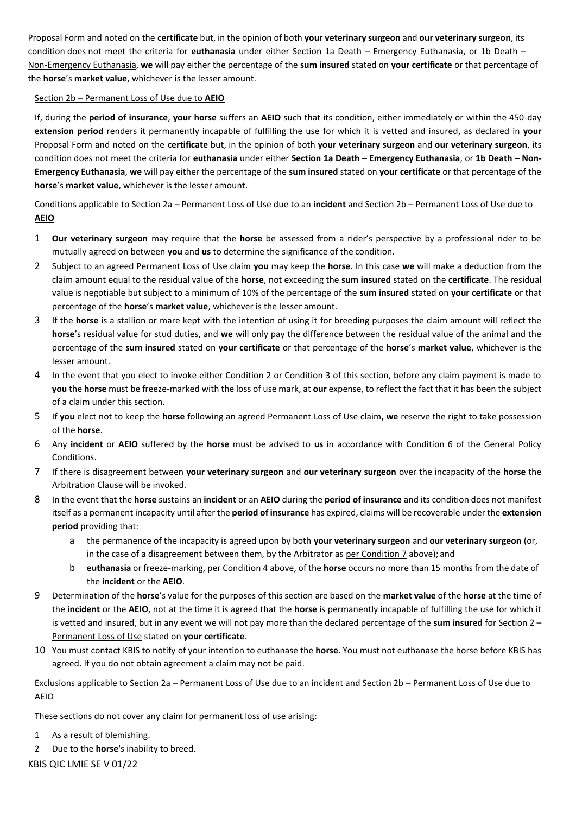Proposal Form and noted on the **certificate** but, in the opinion of both **your veterinary surgeon** and **our veterinary surgeon**, its condition does not meet the criteria for **euthanasia** under either Section 1a Death – Emergency Euthanasia, or 1b Death – Non-Emergency Euthanasia, **we** will pay either the percentage of the **sum insured** stated on **your certificate** or that percentage of the **horse**'s **market value**, whichever is the lesser amount.

## Section 2b – Permanent Loss of Use due to **AEIO**

If, during the **period of insurance**, **your horse** suffers an **AEIO** such that its condition, either immediately or within the 450-day **extension period** renders it permanently incapable of fulfilling the use for which it is vetted and insured, as declared in **your**  Proposal Form and noted on the **certificate** but, in the opinion of both **your veterinary surgeon** and **our veterinary surgeon**, its condition does not meet the criteria for **euthanasia** under either **Section 1a Death – Emergency Euthanasia**, or **1b Death – Non-Emergency Euthanasia**, **we** will pay either the percentage of the **sum insured** stated on **your certificate** or that percentage of the **horse**'s **market value**, whichever is the lesser amount.

## Conditions applicable to Section 2a – Permanent Loss of Use due to an **incident** and Section 2b – Permanent Loss of Use due to **AEIO**

- 1 **Our veterinary surgeon** may require that the **horse** be assessed from a rider's perspective by a professional rider to be mutually agreed on between **you** and **us** to determine the significance of the condition.
- 2 Subject to an agreed Permanent Loss of Use claim **you** may keep the **horse**. In this case **we** will make a deduction from the claim amount equal to the residual value of the **horse**, not exceeding the **sum insured** stated on the **certificate**. The residual value is negotiable but subject to a minimum of 10% of the percentage of the **sum insured** stated on **your certificate** or that percentage of the **horse**'s **market value**, whichever is the lesser amount.
- 3 If the **horse** is a stallion or mare kept with the intention of using it for breeding purposes the claim amount will reflect the **horse**'s residual value for stud duties, and **we** will only pay the difference between the residual value of the animal and the percentage of the **sum insured** stated on **your certificate** or that percentage of the **horse**'s **market value**, whichever is the lesser amount.
- 4 In the event that you elect to invoke either Condition 2 or Condition 3 of this section, before any claim payment is made to **you** the **horse** must be freeze-marked with the loss of use mark, at **our** expense, to reflect the fact that it has been the subject of a claim under this section.
- 5 If **you** elect not to keep the **horse** following an agreed Permanent Loss of Use claim**, we** reserve the right to take possession of the **horse**.
- 6 Any **incident** or **AEIO** suffered by the **horse** must be advised to **us** in accordance with Condition 6 of the General Policy Conditions.
- 7 If there is disagreement between **your veterinary surgeon** and **our veterinary surgeon** over the incapacity of the **horse** the Arbitration Clause will be invoked.
- 8 In the event that the **horse** sustains an **incident** or an **AEIO** during the **period of insurance** and its condition does not manifest itself as a permanent incapacity until after the **period of insurance** has expired, claims will be recoverable under the **extension period** providing that:
	- a the permanence of the incapacity is agreed upon by both **your veterinary surgeon** and **our veterinary surgeon** (or, in the case of a disagreement between them, by the Arbitrator as per Condition 7 above); and
	- b **euthanasia** or freeze-marking, per Condition 4 above, of the **horse** occurs no more than 15 months from the date of the **incident** or the **AEIO**.
- 9 Determination of the **horse**'s value for the purposes of this section are based on the **market value** of the **horse** at the time of the **incident** or the **AEIO**, not at the time it is agreed that the **horse** is permanently incapable of fulfilling the use for which it is vetted and insured, but in any event we will not pay more than the declared percentage of the **sum insured** for Section 2 – Permanent Loss of Use stated on **your certificate**.
- 10 You must contact KBIS to notify of your intention to euthanase the **horse**. You must not euthanase the horse before KBIS has agreed. If you do not obtain agreement a claim may not be paid.

## Exclusions applicable to Section 2a – Permanent Loss of Use due to an incident and Section 2b – Permanent Loss of Use due to AEIO

These sections do not cover any claim for permanent loss of use arising:

- 1 As a result of blemishing.
- 2 Due to the **horse**'s inability to breed.

KBIS QIC LMIE SE V 01/22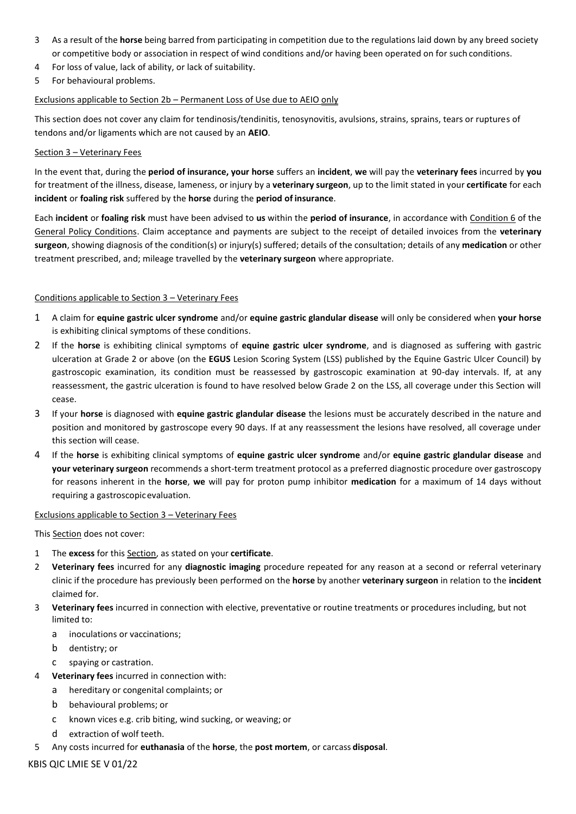- 3 As a result of the **horse** being barred from participating in competition due to the regulations laid down by any breed society or competitive body or association in respect of wind conditions and/or having been operated on for such conditions.
- 4 For loss of value, lack of ability, or lack of suitability.
- 5 For behavioural problems.

## Exclusions applicable to Section 2b – Permanent Loss of Use due to AEIO only

This section does not cover any claim for tendinosis/tendinitis, tenosynovitis, avulsions, strains, sprains, tears or ruptures of tendons and/or ligaments which are not caused by an **AEIO**.

## Section 3 – Veterinary Fees

In the event that, during the **period of insurance, your horse** suffers an **incident**, **we** will pay the **veterinary fees** incurred by **you**  for treatment of the illness, disease, lameness, or injury by a **veterinary surgeon**, up to the limit stated in your **certificate** for each **incident** or **foaling risk** suffered by the **horse** during the **period of insurance**.

Each **incident** or **foaling risk** must have been advised to **us** within the **period of insurance**, in accordance with Condition 6 of the General Policy Conditions. Claim acceptance and payments are subject to the receipt of detailed invoices from the **veterinary surgeon**, showing diagnosis of the condition(s) or injury(s) suffered; details of the consultation; details of any **medication** or other treatment prescribed, and; mileage travelled by the **veterinary surgeon** where appropriate.

## Conditions applicable to Section 3 – Veterinary Fees

- 1 A claim for **equine gastric ulcer syndrome** and/or **equine gastric glandular disease** will only be considered when **your horse**  is exhibiting clinical symptoms of these conditions.
- 2 If the **horse** is exhibiting clinical symptoms of **equine gastric ulcer syndrome**, and is diagnosed as suffering with gastric ulceration at Grade 2 or above (on the **EGUS** Lesion Scoring System (LSS) published by the Equine Gastric Ulcer Council) by gastroscopic examination, its condition must be reassessed by gastroscopic examination at 90-day intervals. If, at any reassessment, the gastric ulceration is found to have resolved below Grade 2 on the LSS, all coverage under this Section will cease.
- 3 If your **horse** is diagnosed with **equine gastric glandular disease** the lesions must be accurately described in the nature and position and monitored by gastroscope every 90 days. If at any reassessment the lesions have resolved, all coverage under this section will cease.
- 4 If the **horse** is exhibiting clinical symptoms of **equine gastric ulcer syndrome** and/or **equine gastric glandular disease** and **your veterinary surgeon** recommends a short-term treatment protocol as a preferred diagnostic procedure over gastroscopy for reasons inherent in the **horse**, **we** will pay for proton pump inhibitor **medication** for a maximum of 14 days without requiring a gastroscopicevaluation.

## Exclusions applicable to Section 3 – Veterinary Fees

This Section does not cover:

- 1 The **excess** for this Section, as stated on your **certificate**.
- 2 **Veterinary fees** incurred for any **diagnostic imaging** procedure repeated for any reason at a second or referral veterinary clinic if the procedure has previously been performed on the **horse** by another **veterinary surgeon** in relation to the **incident**  claimed for.
- 3 **Veterinary fees** incurred in connection with elective, preventative or routine treatments or procedures including, but not limited to:
	- a inoculations or vaccinations;
	- b dentistry; or
	- c spaying or castration.
- 4 **Veterinary fees** incurred in connection with:
	- a hereditary or congenital complaints; or
		- b behavioural problems; or
		- c known vices e.g. crib biting, wind sucking, or weaving; or
		- d extraction of wolf teeth.
- 5 Any costs incurred for **euthanasia** of the **horse**, the **post mortem**, or carcass **disposal**.

KBIS QIC LMIE SE V 01/22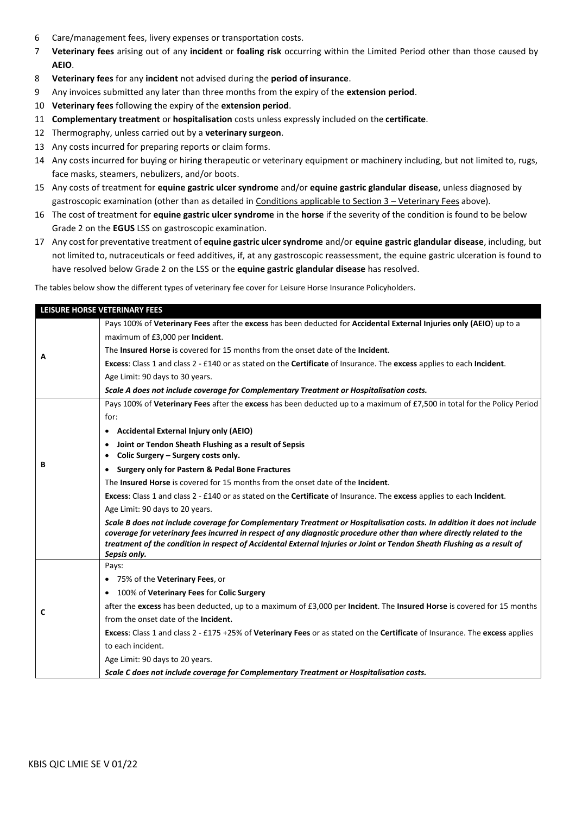- 6 Care/management fees, livery expenses or transportation costs.
- 7 **Veterinary fees** arising out of any **incident** or **foaling risk** occurring within the Limited Period other than those caused by **AEIO**.
- 8 **Veterinary fees** for any **incident** not advised during the **period of insurance**.
- 9 Any invoices submitted any later than three months from the expiry of the **extension period**.
- 10 **Veterinary fees** following the expiry of the **extension period**.
- 11 **Complementary treatment** or **hospitalisation** costs unless expressly included on the **certificate**.
- 12 Thermography, unless carried out by a **veterinary surgeon**.
- 13 Any costs incurred for preparing reports or claim forms.
- 14 Any costs incurred for buying or hiring therapeutic or veterinary equipment or machinery including, but not limited to, rugs, face masks, steamers, nebulizers, and/or boots.
- 15 Any costs of treatment for **equine gastric ulcer syndrome** and/or **equine gastric glandular disease**, unless diagnosed by gastroscopic examination (other than as detailed in Conditions applicable to Section 3 - Veterinary Fees above).
- 16 The cost of treatment for **equine gastric ulcer syndrome** in the **horse** if the severity of the condition is found to be below Grade 2 on the **EGUS** LSS on gastroscopic examination.
- 17 Any cost for preventative treatment of **equine gastric ulcersyndrome** and/or **equine gastric glandular disease**, including, but not limited to, nutraceuticals or feed additives, if, at any gastroscopic reassessment, the equine gastric ulceration is found to have resolved below Grade 2 on the LSS or the **equine gastric glandular disease** has resolved.

The tables below show the different types of veterinary fee cover for Leisure Horse Insurance Policyholders.

|   | LEISURE HORSE VETERINARY FEES                                                                                                                                                                                                                    |  |  |  |  |
|---|--------------------------------------------------------------------------------------------------------------------------------------------------------------------------------------------------------------------------------------------------|--|--|--|--|
|   |                                                                                                                                                                                                                                                  |  |  |  |  |
|   | Pays 100% of Veterinary Fees after the excess has been deducted for Accidental External Injuries only (AEIO) up to a                                                                                                                             |  |  |  |  |
|   | maximum of £3,000 per Incident.                                                                                                                                                                                                                  |  |  |  |  |
| A | The <b>Insured Horse</b> is covered for 15 months from the onset date of the <b>Incident</b> .                                                                                                                                                   |  |  |  |  |
|   | Excess: Class 1 and class 2 - £140 or as stated on the Certificate of Insurance. The excess applies to each Incident.                                                                                                                            |  |  |  |  |
|   | Age Limit: 90 days to 30 years.                                                                                                                                                                                                                  |  |  |  |  |
|   | Scale A does not include coverage for Complementary Treatment or Hospitalisation costs.                                                                                                                                                          |  |  |  |  |
|   | Pays 100% of Veterinary Fees after the excess has been deducted up to a maximum of £7,500 in total for the Policy Period                                                                                                                         |  |  |  |  |
|   | for:                                                                                                                                                                                                                                             |  |  |  |  |
|   | <b>Accidental External Injury only (AEIO)</b><br>٠                                                                                                                                                                                               |  |  |  |  |
|   | Joint or Tendon Sheath Flushing as a result of Sepsis<br>$\bullet$                                                                                                                                                                               |  |  |  |  |
|   | Colic Surgery - Surgery costs only.<br>٠                                                                                                                                                                                                         |  |  |  |  |
| В | <b>Surgery only for Pastern &amp; Pedal Bone Fractures</b><br>$\bullet$                                                                                                                                                                          |  |  |  |  |
|   | The <b>Insured Horse</b> is covered for 15 months from the onset date of the <b>Incident</b> .                                                                                                                                                   |  |  |  |  |
|   | Excess: Class 1 and class 2 - £140 or as stated on the Certificate of Insurance. The excess applies to each Incident.                                                                                                                            |  |  |  |  |
|   | Age Limit: 90 days to 20 years.                                                                                                                                                                                                                  |  |  |  |  |
|   | Scale B does not include coverage for Complementary Treatment or Hospitalisation costs. In addition it does not include                                                                                                                          |  |  |  |  |
|   | coverage for veterinary fees incurred in respect of any diagnostic procedure other than where directly related to the<br>treatment of the condition in respect of Accidental External Injuries or Joint or Tendon Sheath Flushing as a result of |  |  |  |  |
|   | Sepsis only.                                                                                                                                                                                                                                     |  |  |  |  |
|   | Pays:                                                                                                                                                                                                                                            |  |  |  |  |
|   | 75% of the <b>Veterinary Fees</b> , or<br>٠                                                                                                                                                                                                      |  |  |  |  |
|   | 100% of Veterinary Fees for Colic Surgery                                                                                                                                                                                                        |  |  |  |  |
| C | after the excess has been deducted, up to a maximum of £3,000 per Incident. The Insured Horse is covered for 15 months                                                                                                                           |  |  |  |  |
|   | from the onset date of the <b>Incident.</b>                                                                                                                                                                                                      |  |  |  |  |
|   | Excess: Class 1 and class 2 - £175 +25% of Veterinary Fees or as stated on the Certificate of Insurance. The excess applies                                                                                                                      |  |  |  |  |
|   | to each incident.                                                                                                                                                                                                                                |  |  |  |  |
|   | Age Limit: 90 days to 20 years.                                                                                                                                                                                                                  |  |  |  |  |
|   | Scale C does not include coverage for Complementary Treatment or Hospitalisation costs.                                                                                                                                                          |  |  |  |  |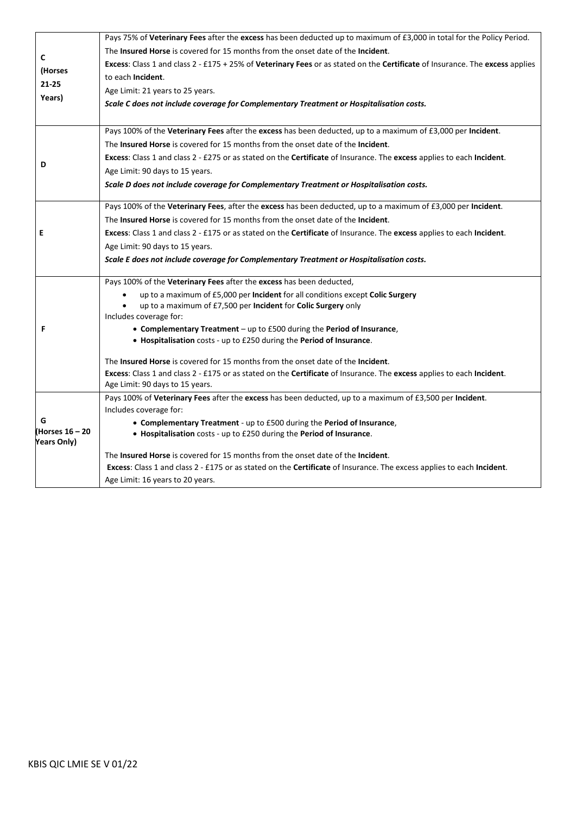| C<br>(Horses<br>$21 - 25$<br>Years)   | Pays 75% of Veterinary Fees after the excess has been deducted up to maximum of £3,000 in total for the Policy Period.                                   |
|---------------------------------------|----------------------------------------------------------------------------------------------------------------------------------------------------------|
|                                       | The <b>Insured Horse</b> is covered for 15 months from the onset date of the <b>Incident</b> .                                                           |
|                                       | Excess: Class 1 and class 2 - £175 + 25% of Veterinary Fees or as stated on the Certificate of Insurance. The excess applies                             |
|                                       | to each Incident.                                                                                                                                        |
|                                       | Age Limit: 21 years to 25 years.                                                                                                                         |
|                                       | Scale C does not include coverage for Complementary Treatment or Hospitalisation costs.                                                                  |
|                                       |                                                                                                                                                          |
|                                       | Pays 100% of the Veterinary Fees after the excess has been deducted, up to a maximum of £3,000 per Incident.                                             |
|                                       | The <b>Insured Horse</b> is covered for 15 months from the onset date of the <b>Incident</b> .                                                           |
| D                                     | Excess: Class 1 and class 2 - £275 or as stated on the Certificate of Insurance. The excess applies to each Incident.                                    |
|                                       | Age Limit: 90 days to 15 years.                                                                                                                          |
|                                       | Scale D does not include coverage for Complementary Treatment or Hospitalisation costs.                                                                  |
|                                       | Pays 100% of the Veterinary Fees, after the excess has been deducted, up to a maximum of £3,000 per Incident.                                            |
|                                       | The Insured Horse is covered for 15 months from the onset date of the Incident.                                                                          |
| Е                                     | Excess: Class 1 and class 2 - £175 or as stated on the Certificate of Insurance. The excess applies to each Incident.                                    |
|                                       | Age Limit: 90 days to 15 years.                                                                                                                          |
|                                       | Scale E does not include coverage for Complementary Treatment or Hospitalisation costs.                                                                  |
|                                       | Pays 100% of the Veterinary Fees after the excess has been deducted,                                                                                     |
|                                       | up to a maximum of £5,000 per Incident for all conditions except Colic Surgery                                                                           |
|                                       | up to a maximum of £7,500 per Incident for Colic Surgery only<br>Includes coverage for:                                                                  |
| F                                     | • Complementary Treatment - up to £500 during the Period of Insurance,                                                                                   |
|                                       | • Hospitalisation costs - up to £250 during the Period of Insurance.                                                                                     |
|                                       |                                                                                                                                                          |
|                                       | The Insured Horse is covered for 15 months from the onset date of the Incident.                                                                          |
|                                       | Excess: Class 1 and class 2 - £175 or as stated on the Certificate of Insurance. The excess applies to each Incident.<br>Age Limit: 90 days to 15 years. |
|                                       | Pays 100% of Veterinary Fees after the excess has been deducted, up to a maximum of £3,500 per Incident.                                                 |
|                                       | Includes coverage for:                                                                                                                                   |
| G                                     | • Complementary Treatment - up to £500 during the Period of Insurance,                                                                                   |
| (Horses 16 - 20<br><b>Years Only)</b> | • Hospitalisation costs - up to £250 during the Period of Insurance.                                                                                     |
|                                       | The <b>Insured Horse</b> is covered for 15 months from the onset date of the <b>Incident</b> .                                                           |
|                                       | Excess: Class 1 and class 2 - £175 or as stated on the Certificate of Insurance. The excess applies to each Incident.                                    |
|                                       | Age Limit: 16 years to 20 years.                                                                                                                         |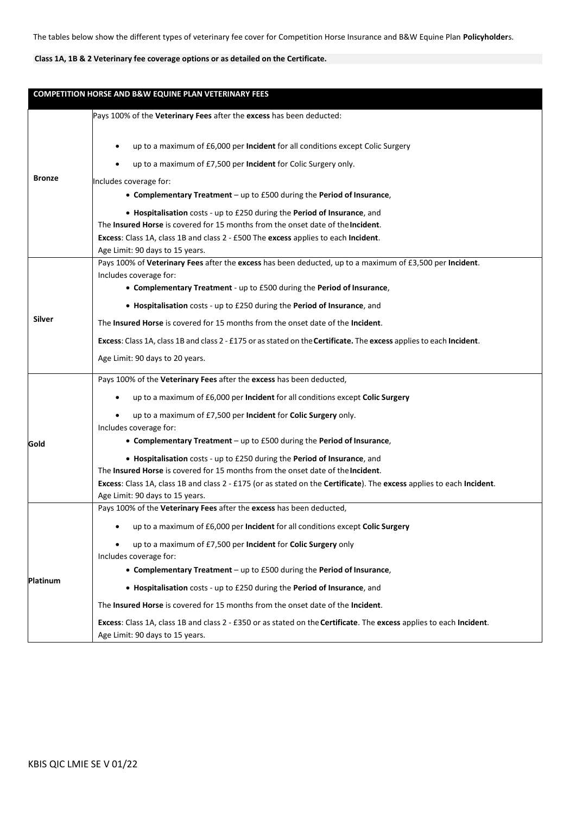## **Class 1A, 1B & 2 Veterinary fee coverage options or as detailed on the Certificate.**

| COMPETITION HORSE AND B&W EQUINE PLAN VETERINARY FEES |                                                                                                                                                             |  |
|-------------------------------------------------------|-------------------------------------------------------------------------------------------------------------------------------------------------------------|--|
|                                                       | Pays 100% of the Veterinary Fees after the excess has been deducted:                                                                                        |  |
|                                                       | up to a maximum of £6,000 per Incident for all conditions except Colic Surgery                                                                              |  |
|                                                       | up to a maximum of £7,500 per Incident for Colic Surgery only.                                                                                              |  |
| <b>Bronze</b>                                         | Includes coverage for:                                                                                                                                      |  |
|                                                       | • Complementary Treatment - up to £500 during the Period of Insurance,                                                                                      |  |
|                                                       | • Hospitalisation costs - up to £250 during the Period of Insurance, and                                                                                    |  |
|                                                       | The Insured Horse is covered for 15 months from the onset date of the Incident.                                                                             |  |
|                                                       | Excess: Class 1A, class 1B and class 2 - £500 The excess applies to each Incident.<br>Age Limit: 90 days to 15 years.                                       |  |
|                                                       | Pays 100% of Veterinary Fees after the excess has been deducted, up to a maximum of £3,500 per Incident.                                                    |  |
|                                                       | Includes coverage for:                                                                                                                                      |  |
|                                                       | • Complementary Treatment - up to £500 during the Period of Insurance,                                                                                      |  |
|                                                       | • Hospitalisation costs - up to £250 during the Period of Insurance, and                                                                                    |  |
| Silver                                                | The Insured Horse is covered for 15 months from the onset date of the Incident.                                                                             |  |
|                                                       | Excess: Class 1A, class 1B and class 2 - £175 or as stated on the Certificate. The excess applies to each Incident.                                         |  |
|                                                       | Age Limit: 90 days to 20 years.                                                                                                                             |  |
|                                                       | Pays 100% of the Veterinary Fees after the excess has been deducted,                                                                                        |  |
|                                                       | up to a maximum of £6,000 per Incident for all conditions except Colic Surgery                                                                              |  |
|                                                       | up to a maximum of £7,500 per Incident for Colic Surgery only.                                                                                              |  |
|                                                       | Includes coverage for:                                                                                                                                      |  |
| Gold                                                  | • Complementary Treatment - up to £500 during the Period of Insurance,                                                                                      |  |
|                                                       | • Hospitalisation costs - up to £250 during the Period of Insurance, and<br>The Insured Horse is covered for 15 months from the onset date of the Incident. |  |
|                                                       | Excess: Class 1A, class 1B and class 2 - £175 (or as stated on the Certificate). The excess applies to each Incident.                                       |  |
|                                                       | Age Limit: 90 days to 15 years.                                                                                                                             |  |
|                                                       | Pays 100% of the Veterinary Fees after the excess has been deducted,                                                                                        |  |
|                                                       | up to a maximum of £6,000 per Incident for all conditions except Colic Surgery                                                                              |  |
|                                                       | up to a maximum of £7,500 per <b>Incident</b> for <b>Colic Surgery</b> only                                                                                 |  |
|                                                       | Includes coverage for:                                                                                                                                      |  |
|                                                       | • Complementary Treatment – up to £500 during the Period of Insurance,                                                                                      |  |
| <b>Platinum</b>                                       | • Hospitalisation costs - up to £250 during the Period of Insurance, and                                                                                    |  |
|                                                       | The Insured Horse is covered for 15 months from the onset date of the Incident.                                                                             |  |
|                                                       | Excess: Class 1A, class 1B and class 2 - £350 or as stated on the Certificate. The excess applies to each Incident.<br>Age Limit: 90 days to 15 years.      |  |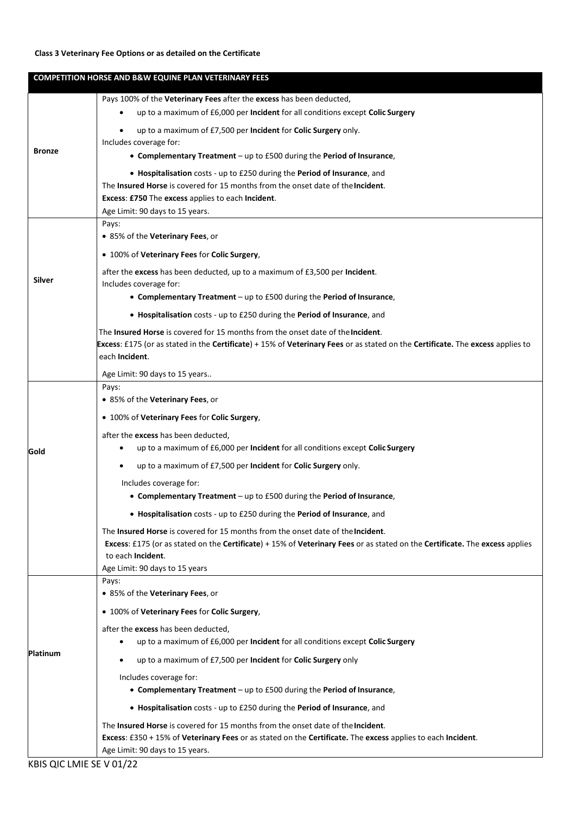## **Class 3 Veterinary Fee Options or as detailed on the Certificate**

| <b>COMPETITION HORSE AND B&amp;W EQUINE PLAN VETERINARY FEES</b> |                                                                                                                                                                                                               |  |
|------------------------------------------------------------------|---------------------------------------------------------------------------------------------------------------------------------------------------------------------------------------------------------------|--|
|                                                                  | Pays 100% of the Veterinary Fees after the excess has been deducted,                                                                                                                                          |  |
|                                                                  | up to a maximum of £6,000 per Incident for all conditions except Colic Surgery                                                                                                                                |  |
|                                                                  | up to a maximum of £7,500 per Incident for Colic Surgery only.                                                                                                                                                |  |
|                                                                  | Includes coverage for:                                                                                                                                                                                        |  |
| <b>Bronze</b>                                                    | • Complementary Treatment - up to £500 during the Period of Insurance,                                                                                                                                        |  |
|                                                                  | • Hospitalisation costs - up to £250 during the Period of Insurance, and                                                                                                                                      |  |
|                                                                  | The Insured Horse is covered for 15 months from the onset date of the Incident.                                                                                                                               |  |
|                                                                  | Excess: £750 The excess applies to each Incident.<br>Age Limit: 90 days to 15 years.                                                                                                                          |  |
|                                                                  | Pays:                                                                                                                                                                                                         |  |
|                                                                  | • 85% of the Veterinary Fees, or                                                                                                                                                                              |  |
|                                                                  | • 100% of Veterinary Fees for Colic Surgery,                                                                                                                                                                  |  |
| Silver                                                           | after the excess has been deducted, up to a maximum of £3,500 per Incident.                                                                                                                                   |  |
|                                                                  | Includes coverage for:                                                                                                                                                                                        |  |
|                                                                  | • Complementary Treatment - up to £500 during the Period of Insurance,                                                                                                                                        |  |
|                                                                  | • Hospitalisation costs - up to £250 during the Period of Insurance, and                                                                                                                                      |  |
|                                                                  | The <b>Insured Horse</b> is covered for 15 months from the onset date of the <b>Incident</b> .                                                                                                                |  |
|                                                                  | Excess: £175 (or as stated in the Certificate) + 15% of Veterinary Fees or as stated on the Certificate. The excess applies to<br>each Incident.                                                              |  |
|                                                                  | Age Limit: 90 days to 15 years                                                                                                                                                                                |  |
|                                                                  | Pays:                                                                                                                                                                                                         |  |
|                                                                  | • 85% of the Veterinary Fees, or                                                                                                                                                                              |  |
|                                                                  | • 100% of Veterinary Fees for Colic Surgery,                                                                                                                                                                  |  |
|                                                                  | after the excess has been deducted,                                                                                                                                                                           |  |
| Gold                                                             | up to a maximum of £6,000 per Incident for all conditions except Colic Surgery                                                                                                                                |  |
|                                                                  | up to a maximum of £7,500 per <b>Incident</b> for <b>Colic Surgery</b> only.<br>$\bullet$                                                                                                                     |  |
|                                                                  | Includes coverage for:                                                                                                                                                                                        |  |
|                                                                  | • Complementary Treatment – up to £500 during the Period of Insurance,                                                                                                                                        |  |
|                                                                  | • Hospitalisation costs - up to £250 during the Period of Insurance, and                                                                                                                                      |  |
|                                                                  | The <b>Insured Horse</b> is covered for 15 months from the onset date of the <b>Incident</b> .                                                                                                                |  |
|                                                                  | Excess: £175 (or as stated on the Certificate) + 15% of Veterinary Fees or as stated on the Certificate. The excess applies                                                                                   |  |
|                                                                  | to each Incident.<br>Age Limit: 90 days to 15 years                                                                                                                                                           |  |
|                                                                  | Pays:                                                                                                                                                                                                         |  |
|                                                                  | • 85% of the Veterinary Fees, or                                                                                                                                                                              |  |
|                                                                  | • 100% of Veterinary Fees for Colic Surgery,                                                                                                                                                                  |  |
|                                                                  | after the excess has been deducted,                                                                                                                                                                           |  |
| <b>Platinum</b>                                                  | up to a maximum of £6,000 per Incident for all conditions except Colic Surgery                                                                                                                                |  |
|                                                                  | up to a maximum of £7,500 per Incident for Colic Surgery only<br>$\bullet$                                                                                                                                    |  |
|                                                                  | Includes coverage for:                                                                                                                                                                                        |  |
|                                                                  | • Complementary Treatment – up to £500 during the Period of Insurance,                                                                                                                                        |  |
|                                                                  | • Hospitalisation costs - up to £250 during the Period of Insurance, and                                                                                                                                      |  |
|                                                                  | The <b>Insured Horse</b> is covered for 15 months from the onset date of the <b>Incident</b> .<br>Excess: £350 + 15% of Veterinary Fees or as stated on the Certificate. The excess applies to each Incident. |  |
|                                                                  | Age Limit: 90 days to 15 years.                                                                                                                                                                               |  |

KBIS QIC LMIE SE V 01/22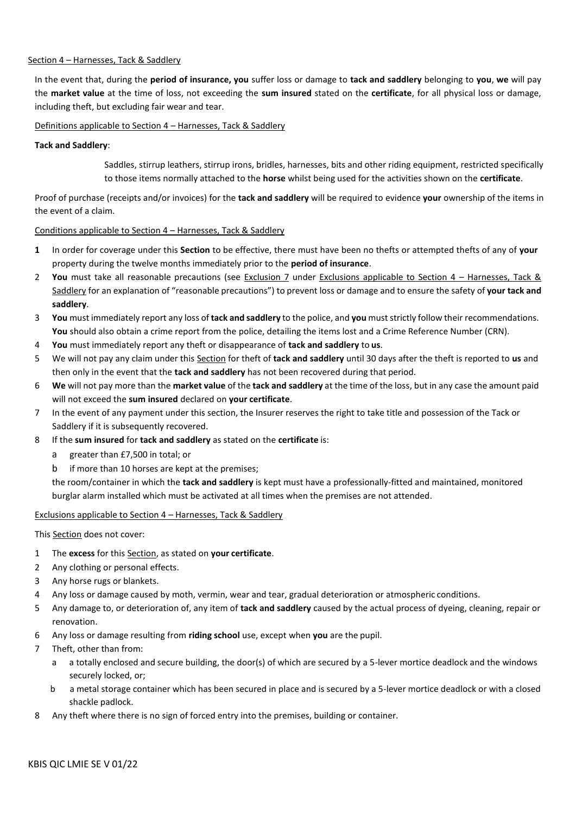#### Section 4 – Harnesses, Tack & Saddlery

In the event that, during the **period of insurance, you** suffer loss or damage to **tack and saddlery** belonging to **you**, **we** will pay the **market value** at the time of loss, not exceeding the **sum insured** stated on the **certificate**, for all physical loss or damage, including theft, but excluding fair wear and tear.

#### Definitions applicable to Section 4 – Harnesses, Tack & Saddlery

#### **Tack and Saddlery**:

Saddles, stirrup leathers, stirrup irons, bridles, harnesses, bits and other riding equipment, restricted specifically to those items normally attached to the **horse** whilst being used for the activities shown on the **certificate**.

Proof of purchase (receipts and/or invoices) for the **tack and saddlery** will be required to evidence **your** ownership of the items in the event of a claim.

#### Conditions applicable to Section 4 – Harnesses, Tack & Saddlery

- **1** In order for coverage under this **Section** to be effective, there must have been no thefts or attempted thefts of any of **your** property during the twelve months immediately prior to the **period of insurance**.
- 2 **You** must take all reasonable precautions (see Exclusion 7 under Exclusions applicable to Section 4 Harnesses, Tack & Saddlery for an explanation of "reasonable precautions") to prevent loss or damage and to ensure the safety of **your tack and saddlery**.
- 3 **You** must immediately report any loss of **tack and saddlery** to the police, and **you** muststrictly follow their recommendations. **You** should also obtain a crime report from the police, detailing the items lost and a Crime Reference Number (CRN).
- 4 **You** must immediately report any theft or disappearance of **tack and saddlery** to **us**.
- 5 We will not pay any claim under this Section for theft of **tack and saddlery** until 30 days after the theft is reported to **us** and then only in the event that the **tack and saddlery** has not been recovered during that period.
- 6 **We** will not pay more than the **market value** of the **tack and saddlery** at the time of the loss, but in any case the amount paid will not exceed the **sum insured** declared on **your certificate**.
- 7 In the event of any payment under this section, the Insurer reserves the right to take title and possession of the Tack or Saddlery if it is subsequently recovered.
- 8 If the **sum insured** for **tack and saddlery** as stated on the **certificate** is:
	- a greater than £7,500 in total; or
	- b if more than 10 horses are kept at the premises;

the room/container in which the **tack and saddlery** is kept must have a professionally-fitted and maintained, monitored burglar alarm installed which must be activated at all times when the premises are not attended*.*

#### Exclusions applicable to Section 4 – Harnesses, Tack & Saddlery

This Section does not cover:

- 1 The **excess** for this Section, as stated on **your certificate**.
- 2 Any clothing or personal effects.
- 3 Any horse rugs or blankets.
- 4 Any loss or damage caused by moth, vermin, wear and tear, gradual deterioration or atmospheric conditions.
- 5 Any damage to, or deterioration of, any item of **tack and saddlery** caused by the actual process of dyeing, cleaning, repair or renovation.
- 6 Any loss or damage resulting from **riding school** use, except when **you** are the pupil.
- 7 Theft, other than from:
	- a a totally enclosed and secure building, the door(s) of which are secured by a 5-lever mortice deadlock and the windows securely locked, or;
	- b a metal storage container which has been secured in place and is secured by a 5-lever mortice deadlock or with a closed shackle padlock.
- 8 Any theft where there is no sign of forced entry into the premises, building or container.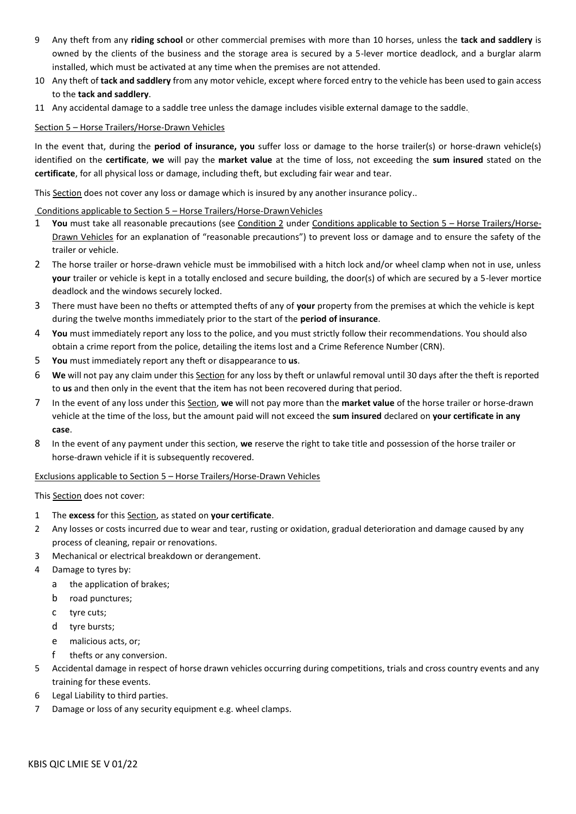- 9 Any theft from any **riding school** or other commercial premises with more than 10 horses, unless the **tack and saddlery** is owned by the clients of the business and the storage area is secured by a 5-lever mortice deadlock, and a burglar alarm installed, which must be activated at any time when the premises are not attended.
- 10 Any theft of **tack and saddlery** from any motor vehicle, except where forced entry to the vehicle has been used to gain access to the **tack and saddlery**.
- 11 Any accidental damage to a saddle tree unless the damage includes visible external damage to the saddle.

## Section 5 – Horse Trailers/Horse-Drawn Vehicles

In the event that, during the **period of insurance, you** suffer loss or damage to the horse trailer(s) or horse-drawn vehicle(s) identified on the **certificate**, **we** will pay the **market value** at the time of loss, not exceeding the **sum insured** stated on the **certificate**, for all physical loss or damage, including theft, but excluding fair wear and tear.

This Section does not cover any loss or damage which is insured by any another insurance policy..

#### Conditions applicable to Section 5 – Horse Trailers/Horse-DrawnVehicles

- 1 **You** must take all reasonable precautions (see Condition 2 under Conditions applicable to Section 5 Horse Trailers/Horse-Drawn Vehicles for an explanation of "reasonable precautions") to prevent loss or damage and to ensure the safety of the trailer or vehicle.
- 2 The horse trailer or horse-drawn vehicle must be immobilised with a hitch lock and/or wheel clamp when not in use, unless **your** trailer or vehicle is kept in a totally enclosed and secure building, the door(s) of which are secured by a 5-lever mortice deadlock and the windows securely locked.
- 3 There must have been no thefts or attempted thefts of any of **your** property from the premises at which the vehicle is kept during the twelve months immediately prior to the start of the **period of insurance**.
- 4 **You** must immediately report any loss to the police, and you must strictly follow their recommendations. You should also obtain a crime report from the police, detailing the items lost and a Crime Reference Number(CRN).
- 5 **You** must immediately report any theft or disappearance to **us**.
- 6 **We** will not pay any claim under this Section for any loss by theft or unlawful removal until 30 days after the theft is reported to **us** and then only in the event that the item has not been recovered during that period.
- 7 In the event of any loss under this Section, **we** will not pay more than the **market value** of the horse trailer or horse-drawn vehicle at the time of the loss, but the amount paid will not exceed the **sum insured** declared on **your certificate in any case**.
- 8 In the event of any payment under this section, **we** reserve the right to take title and possession of the horse trailer or horse-drawn vehicle if it is subsequently recovered.

#### Exclusions applicable to Section 5 – Horse Trailers/Horse-Drawn Vehicles

This Section does not cover:

- 1 The **excess** for this Section, as stated on **your certificate**.
- 2 Any losses or costs incurred due to wear and tear, rusting or oxidation, gradual deterioration and damage caused by any process of cleaning, repair or renovations.
- 3 Mechanical or electrical breakdown or derangement.
- 4 Damage to tyres by:
	- a the application of brakes;
	- b road punctures;
	- c tyre cuts;
	- d tyre bursts;
	- e malicious acts, or;
	- f thefts or any conversion.
- 5 Accidental damage in respect of horse drawn vehicles occurring during competitions, trials and cross country events and any training for these events.
- 6 Legal Liability to third parties.
- 7 Damage or loss of any security equipment e.g. wheel clamps.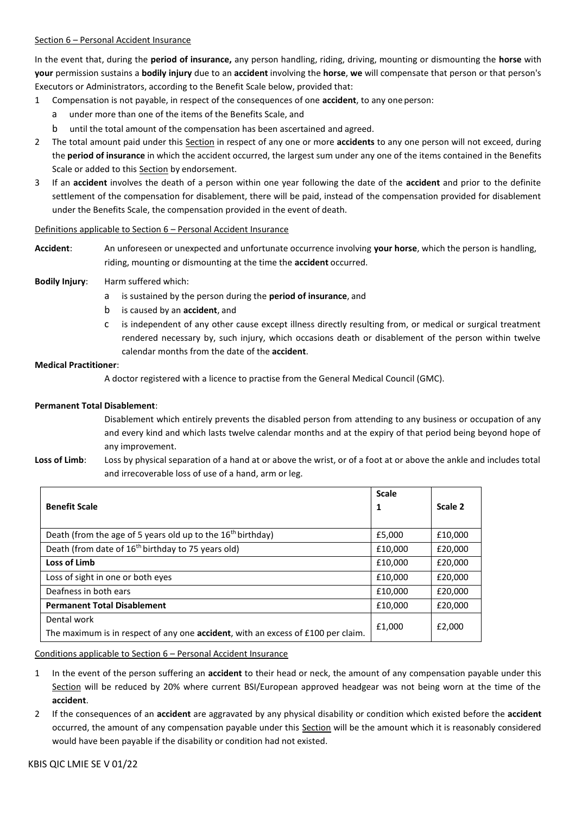### Section 6 – Personal Accident Insurance

In the event that, during the **period of insurance,** any person handling, riding, driving, mounting or dismounting the **horse** with **your** permission sustains a **bodily injury** due to an **accident** involving the **horse**, **we** will compensate that person or that person's Executors or Administrators, according to the Benefit Scale below, provided that:

- 1 Compensation is not payable, in respect of the consequences of one **accident**, to any one person:
	- a under more than one of the items of the Benefits Scale, and
	- b until the total amount of the compensation has been ascertained and agreed.
- 2 The total amount paid under this Section in respect of any one or more **accidents** to any one person will not exceed, during the **period of insurance** in which the accident occurred, the largest sum under any one of the items contained in the Benefits Scale or added to this Section by endorsement.
- 3 If an **accident** involves the death of a person within one year following the date of the **accident** and prior to the definite settlement of the compensation for disablement, there will be paid, instead of the compensation provided for disablement under the Benefits Scale, the compensation provided in the event of death.

#### Definitions applicable to Section 6 – Personal Accident Insurance

**Accident**: An unforeseen or unexpected and unfortunate occurrence involving **your horse**, which the person is handling, riding, mounting or dismounting at the time the **accident** occurred.

#### **Bodily Injury**: Harm suffered which:

- a is sustained by the person during the **period of insurance**, and
- b is caused by an **accident**, and
- c is independent of any other cause except illness directly resulting from, or medical or surgical treatment rendered necessary by, such injury, which occasions death or disablement of the person within twelve calendar months from the date of the **accident**.

#### **Medical Practitioner**:

A doctor registered with a licence to practise from the General Medical Council (GMC).

#### **Permanent Total Disablement**:

Disablement which entirely prevents the disabled person from attending to any business or occupation of any and every kind and which lasts twelve calendar months and at the expiry of that period being beyond hope of any improvement.

**Loss of Limb**: Loss by physical separation of a hand at or above the wrist, or of a foot at or above the ankle and includes total and irrecoverable loss of use of a hand, arm or leg.

|                                                                                                 | <b>Scale</b> |         |
|-------------------------------------------------------------------------------------------------|--------------|---------|
| <b>Benefit Scale</b>                                                                            | 1            | Scale 2 |
|                                                                                                 |              |         |
| Death (from the age of 5 years old up to the 16 <sup>th</sup> birthday)                         | £5,000       | £10,000 |
| Death (from date of 16 <sup>th</sup> birthday to 75 years old)                                  | £10,000      | £20,000 |
| Loss of Limb                                                                                    | £10.000      | £20,000 |
| Loss of sight in one or both eyes                                                               | £10,000      | £20,000 |
| Deafness in both ears                                                                           |              | £20,000 |
| <b>Permanent Total Disablement</b>                                                              | £10,000      | £20,000 |
| Dental work<br>The maximum is in respect of any one accident, with an excess of £100 per claim. | £1,000       | £2,000  |

Conditions applicable to Section 6 – Personal Accident Insurance

- 1 In the event of the person suffering an **accident** to their head or neck, the amount of any compensation payable under this Section will be reduced by 20% where current BSI/European approved headgear was not being worn at the time of the **accident**.
- 2 If the consequences of an **accident** are aggravated by any physical disability or condition which existed before the **accident**  occurred, the amount of any compensation payable under this Section will be the amount which it is reasonably considered would have been payable if the disability or condition had not existed.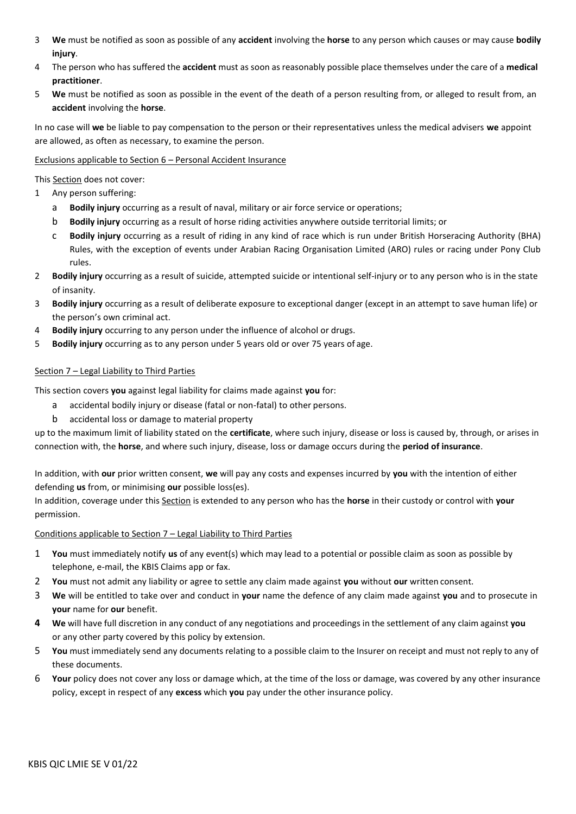- 3 **We** must be notified as soon as possible of any **accident** involving the **horse** to any person which causes or may cause **bodily injury**.
- 4 The person who has suffered the **accident** must as soon as reasonably possible place themselves under the care of a **medical practitioner**.
- 5 **We** must be notified as soon as possible in the event of the death of a person resulting from, or alleged to result from, an **accident** involving the **horse**.

In no case will **we** be liable to pay compensation to the person or their representatives unless the medical advisers **we** appoint are allowed, as often as necessary, to examine the person.

## Exclusions applicable to Section 6 – Personal Accident Insurance

This Section does not cover:

- 1 Any person suffering:
	- a **Bodily injury** occurring as a result of naval, military or air force service or operations;
	- b **Bodily injury** occurring as a result of horse riding activities anywhere outside territorial limits; or
	- c **Bodily injury** occurring as a result of riding in any kind of race which is run under British Horseracing Authority (BHA) Rules, with the exception of events under Arabian Racing Organisation Limited (ARO) rules or racing under Pony Club rules.
- 2 **Bodily injury** occurring as a result of suicide, attempted suicide or intentional self-injury or to any person who is in the state of insanity.
- 3 **Bodily injury** occurring as a result of deliberate exposure to exceptional danger (except in an attempt to save human life) or the person's own criminal act.
- 4 **Bodily injury** occurring to any person under the influence of alcohol or drugs.
- 5 **Bodily injury** occurring as to any person under 5 years old or over 75 years of age.

#### Section 7 – Legal Liability to Third Parties

This section covers **you** against legal liability for claims made against **you** for:

- a accidental bodily injury or disease (fatal or non-fatal) to other persons.
- b accidental loss or damage to material property

up to the maximum limit of liability stated on the **certificate**, where such injury, disease or loss is caused by, through, or arises in connection with, the **horse**, and where such injury, disease, loss or damage occurs during the **period of insurance**.

In addition, with **our** prior written consent, **we** will pay any costs and expenses incurred by **you** with the intention of either defending **us** from, or minimising **our** possible loss(es).

In addition, coverage under this Section is extended to any person who has the **horse** in their custody or control with **your** permission.

#### Conditions applicable to Section 7 – Legal Liability to Third Parties

- 1 **You** must immediately notify **us** of any event(s) which may lead to a potential or possible claim as soon as possible by telephone, e-mail, the KBIS Claims app or fax.
- 2 **You** must not admit any liability or agree to settle any claim made against **you** without **our** written consent.
- 3 **We** will be entitled to take over and conduct in **your** name the defence of any claim made against **you** and to prosecute in **your** name for **our** benefit.
- **4 We** will have full discretion in any conduct of any negotiations and proceedings in the settlement of any claim against **you** or any other party covered by this policy by extension.
- 5 **You** must immediately send any documents relating to a possible claim to the Insurer on receipt and must not reply to any of these documents.
- 6 **Your** policy does not cover any loss or damage which, at the time of the loss or damage, was covered by any other insurance policy, except in respect of any **excess** which **you** pay under the other insurance policy.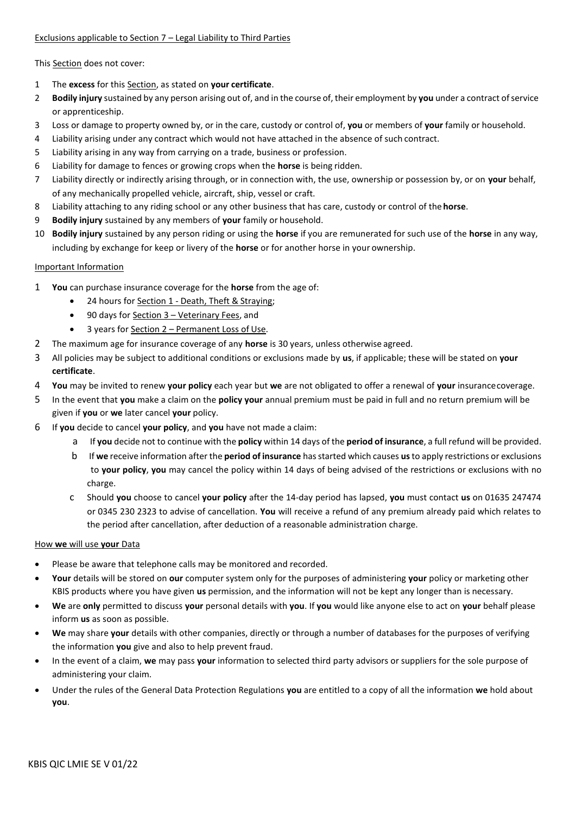## Exclusions applicable to Section 7 – Legal Liability to Third Parties

This Section does not cover:

- 1 The **excess** for this Section, as stated on **your certificate**.
- 2 **Bodily injury** sustained by any person arising out of, and in the course of, their employment by **you** under a contract ofservice or apprenticeship.
- 3 Loss or damage to property owned by, or in the care, custody or control of, **you** or members of **your** family or household.
- 4 Liability arising under any contract which would not have attached in the absence of such contract.
- 5 Liability arising in any way from carrying on a trade, business or profession.
- 6 Liability for damage to fences or growing crops when the **horse** is being ridden.
- 7 Liability directly or indirectly arising through, or in connection with, the use, ownership or possession by, or on **your** behalf, of any mechanically propelled vehicle, aircraft, ship, vessel or craft.
- 8 Liability attaching to any riding school or any other business that has care, custody or control of the**horse**.
- 9 **Bodily injury** sustained by any members of **your** family or household.
- 10 **Bodily injury** sustained by any person riding or using the **horse** if you are remunerated for such use of the **horse** in any way, including by exchange for keep or livery of the **horse** or for another horse in your ownership.

## Important Information

- 1 **You** can purchase insurance coverage for the **horse** from the age of:
	- 24 hours for Section 1 Death, Theft & Straying;
	- 90 days for Section 3 Veterinary Fees, and
	- 3 years for Section 2 Permanent Loss of Use.
- 2 The maximum age for insurance coverage of any **horse** is 30 years, unless otherwise agreed.
- 3 All policies may be subject to additional conditions or exclusions made by **us**, if applicable; these will be stated on **your certificate**.
- 4 **You** may be invited to renew **your policy** each year but **we** are not obligated to offer a renewal of **your** insurancecoverage.
- 5 In the event that **you** make a claim on the **policy your** annual premium must be paid in full and no return premium will be given if **you** or **we** later cancel **your** policy.
- 6 If **you** decide to cancel **your policy**, and **you** have not made a claim:
	- a If **you** decide not to continue with the **policy** within 14 days of the **period of insurance**, a full refund will be provided.
	- b If **we** receive information after the **period of insurance** hasstarted which causes **us**to apply restrictions or exclusions to **your policy**, **you** may cancel the policy within 14 days of being advised of the restrictions or exclusions with no charge.
	- c Should **you** choose to cancel **your policy** after the 14-day period has lapsed, **you** must contact **us** on 01635 247474 or 0345 230 2323 to advise of cancellation. **You** will receive a refund of any premium already paid which relates to the period after cancellation, after deduction of a reasonable administration charge.

#### How **we** will use **your** Data

- Please be aware that telephone calls may be monitored and recorded.
- **Your** details will be stored on **our** computer system only for the purposes of administering **your** policy or marketing other KBIS products where you have given **us** permission, and the information will not be kept any longer than is necessary.
- **We** are **only** permitted to discuss **your** personal details with **you**. If **you** would like anyone else to act on **your** behalf please inform **us** as soon as possible.
- **We** may share **your** details with other companies, directly or through a number of databases for the purposes of verifying the information **you** give and also to help prevent fraud.
- In the event of a claim, **we** may pass **your** information to selected third party advisors or suppliers for the sole purpose of administering your claim.
- Under the rules of the General Data Protection Regulations **you** are entitled to a copy of all the information **we** hold about **you**.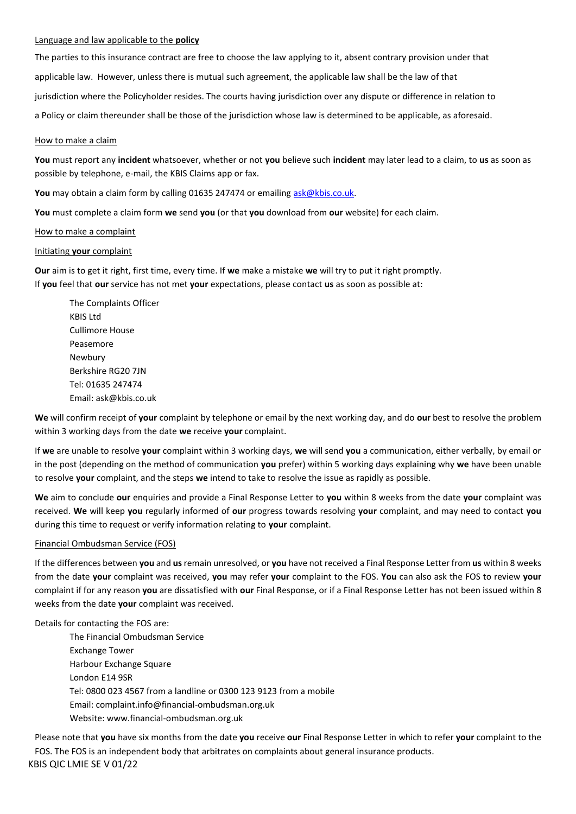#### Language and law applicable to the **policy**

The parties to this insurance contract are free to choose the law applying to it, absent contrary provision under that applicable law. However, unless there is mutual such agreement, the applicable law shall be the law of that jurisdiction where the Policyholder resides. The courts having jurisdiction over any dispute or difference in relation to a Policy or claim thereunder shall be those of the jurisdiction whose law is determined to be applicable, as aforesaid.

#### How to make a claim

**You** must report any **incident** whatsoever, whether or not **you** believe such **incident** may later lead to a claim, to **us** as soon as possible by telephone, e-mail, the KBIS Claims app or fax.

**You** may obtain a claim form by calling 01635 247474 or emailing [ask@kbis.co.uk.](mailto:ask@kbis.co.uk)

**You** must complete a claim form **we** send **you** (or that **you** download from **our** website) for each claim.

#### How to make a complaint

#### Initiating **your** complaint

**Our** aim is to get it right, first time, every time. If **we** make a mistake **we** will try to put it right promptly. If **you** feel that **our** service has not met **your** expectations, please contact **us** as soon as possible at:

The Complaints Officer KBIS Ltd Cullimore House Peasemore Newbury Berkshire RG20 7JN Tel: 01635 247474 Email: [ask@kbis.co.uk](mailto:ask@kbis.co.uk)

**We** will confirm receipt of **your** complaint by telephone or email by the next working day, and do **our** best to resolve the problem within 3 working days from the date **we** receive **your** complaint.

If **we** are unable to resolve **your** complaint within 3 working days, **we** will send **you** a communication, either verbally, by email or in the post (depending on the method of communication **you** prefer) within 5 working days explaining why **we** have been unable to resolve **your** complaint, and the steps **we** intend to take to resolve the issue as rapidly as possible.

**We** aim to conclude **our** enquiries and provide a Final Response Letter to **you** within 8 weeks from the date **your** complaint was received. **We** will keep **you** regularly informed of **our** progress towards resolving **your** complaint, and may need to contact **you**  during this time to request or verify information relating to **your** complaint.

#### Financial Ombudsman Service (FOS)

If the differences between **you** and **us**remain unresolved, or **you** have not received a Final Response Letter from **us** within 8 weeks from the date **your** complaint was received, **you** may refer **your** complaint to the FOS. **You** can also ask the FOS to review **your**  complaint if for any reason **you** are dissatisfied with **our** Final Response, or if a Final Response Letter has not been issued within 8 weeks from the date **your** complaint was received.

#### Details for contacting the FOS are:

The Financial Ombudsman Service Exchange Tower Harbour Exchange Square London E14 9SR Tel: 0800 023 4567 from a landline or 0300 123 9123 from a mobile Email: [complaint.info@financial-ombudsman.org.uk](mailto:complaint.info@financial-ombudsman.org.uk) Website[: www.financial-ombudsman.org.uk](http://www.financial-ombudsman.org.uk/)

KBIS QIC LMIE SE V 01/22 Please note that **you** have six months from the date **you** receive **our** Final Response Letter in which to refer **your** complaint to the FOS. The FOS is an independent body that arbitrates on complaints about general insurance products.